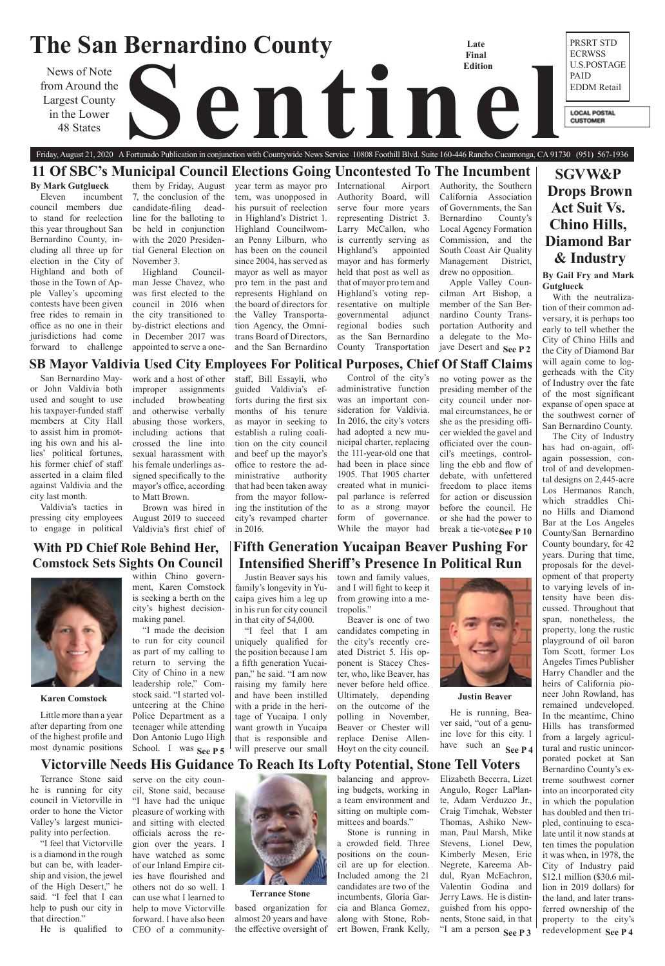#### **The San Bernardino County** PRSRT STD  **Late**  ECRWSS  **Final**  U.S.POSTAGE  **Edition** News of Note<br>rom Around the<br>in the Lower<br>48 States PAID from Around the EDDM Retail Largest County in the Lower **LOCAL POSTAL CUSTOMER** 48 States

## **SGVW&P Drops Brown Act Suit Vs. Chino Hills, Diamond Bar & Industry**

### **With PD Chief Role Behind Her, Comstock Sets Sights On Council Fifth Generation Yucaipan Beaver Pushing For**

## Friday, August 21, 2020 A Fortunado Publication in conjunction with Countywide News Service 10808 Foothill Blvd. Suite 160-446 Rancho Cucamonga, CA 91730 (951) 567-1936 **11 Of SBC's Municipal Council Elections Going Uncontested To The Incumbent**

## **SB Mayor Valdivia Used City Employees For Political Purposes, Chief Of Staff Claims**

**Justin Beaver**

## **Terrance Stone**

**By Gail Fry and Mark Gutglueck**

With the neutralization of their common adversary, it is perhaps too early to tell whether the City of Chino Hills and the City of Diamond Bar will again come to loggerheads with the City of Industry over the fate of the most significant expanse of open space at the southwest corner of San Bernardino County.

**See P 3** redevelopment See P 4 The City of Industry has had on-again, offagain possession, control of and developmental designs on 2,445-acre Los Hermanos Ranch, which straddles Chino Hills and Diamond Bar at the Los Angeles County/San Bernardino County boundary, for 42 years. During that time, proposals for the development of that property to varying levels of intensity have been discussed. Throughout that span, nonetheless, the property, long the rustic playground of oil baron Tom Scott, former Los Angeles Times Publisher Harry Chandler and the heirs of California pioneer John Rowland, has remained undeveloped. In the meantime, Chino Hills has transformed from a largely agricultural and rustic unincorporated pocket at San Bernardino County's extreme southwest corner into an incorporated city in which the population has doubled and then tripled, continuing to escalate until it now stands at ten times the population it was when, in 1978, the City of Industry paid \$12.1 million (\$30.6 million in 2019 dollars) for the land, and later transferred ownership of the property to the city's

jave Desert and See P 2 Apple Valley Councilman Art Bishop, a member of the San Bernardino County Transportation Authority and a delegate to the Mo-

### **By Mark Gutglueck**

Eleven incumbent council members due to stand for reelection this year throughout San Bernardino County, including all three up for election in the City of Highland and both of those in the Town of Apple Valley's upcoming contests have been given free rides to remain in office as no one in their jurisdictions had come forward to challenge

them by Friday, August 7, the conclusion of the candidate-filing deadline for the balloting to be held in conjunction with the 2020 Presidential General Election on November 3.

> break a tie-vote<sub>See P10</sub> no voting power as the presiding member of the city council under normal circumstances, he or she as the presiding officer wielded the gavel and officiated over the council's meetings, controlling the ebb and flow of debate, with unfettered freedom to place items for action or discussion before the council. He or she had the power to

Highland Councilman Jesse Chavez, who was first elected to the council in 2016 when the city transitioned to by-district elections and in December 2017 was appointed to serve a one-

## **Intensified Sheriff's Presence In Political Run** Justin Beaver says his family's longevity in Yu-

year term as mayor pro tem, was unopposed in his pursuit of reelection in Highland's District 1. Highland Councilwoman Penny Lilburn, who has been on the council since 2004, has served as mayor as well as mayor pro tem in the past and represents Highland on the board of directors for the Valley Transportation Agency, the Omnitrans Board of Directors, and the San Bernardino

**See P 5** will preserve our small Hoyt on the city council. have such an See P 4 Beaver is one of two candidates competing in the city's recently created District 5. His opponent is Stacey Chester, who, like Beaver, has never before held office. Ultimately, depending on the outcome of the polling in November, Beaver or Chester will replace Denise Allen-Hoyt on the city council.



## **Victorville Needs His Guidance To Reach Its Lofty Potential, Stone Tell Voters** will preserve our small

International Airport Authority Board, will serve four more years representing District 3. Larry McCallon, who is currently serving as Highland's appointed mayor and has formerly held that post as well as that of mayor pro tem and Highland's voting representative on multiple governmental adjunct regional bodies such as the San Bernardino County Transportation Authority, the Southern California Association of Governments, the San Bernardino County's Local Agency Formation Commission, and the South Coast Air Quality Management District, drew no opposition.

Stevens, Lionel Dew, Kimberly Mesen, Eric Negrete, Kareema Abdul, Ryan McEachron, Valentin Godina and Jerry Laws. He is distinguished from his opponents, Stone said, in that "I am a person See P 3

"I made the decision to run for city council as part of my calling to return to serving the City of Chino in a new leadership role," Comstock said. "I started volunteering at the Chino Police Department as a teenager while attending Don Antonio Lugo High School. I was See P 5

San Bernardino Mayor John Valdivia both used and sought to use his taxpayer-funded staff members at City Hall to assist him in promoting his own and his allies' political fortunes, his former chief of staff asserted in a claim filed against Valdivia and the city last month.

Valdivia's tactics in pressing city employees to engage in political

work and a host of other improper assignments included browbeating and otherwise verbally abusing those workers, including actions that crossed the line into sexual harassment with his female underlings assigned specifically to the mayor's office, according to Matt Brown.

Brown was hired in August 2019 to succeed Valdivia's first chief of

staff, Bill Essayli, who guided Valdivia's efforts during the first six months of his tenure as mayor in seeking to establish a ruling coalition on the city council and beef up the mayor's office to restore the administrative authority that had been taken away from the mayor following the institution of the city's revamped charter in 2016.

Control of the city's administrative function was an important consideration for Valdivia. In 2016, the city's voters had adopted a new municipal charter, replacing the 111-year-old one that had been in place since 1905. That 1905 charter created what in municipal parlance is referred to as a strong mayor form of governance. While the mayor had

caipa gives him a leg up in his run for city council in that city of 54,000. "I feel that I am uniquely qualified for the position because I am a fifth generation Yucaipan," he said. "I am now raising my family here and have been instilled with a pride in the heri-

tage of Yucaipa. I only want growth in Yucaipa that is responsible and town and family values, and I will fight to keep it from growing into a metropolis."

Terrance Stone said he is running for city council in Victorville in order to hone the Victor Valley's largest municipality into perfection.

"I feel that Victorville is a diamond in the rough but can be, with leadership and vision, the jewel of the High Desert," he said. "I feel that I can help to push our city in that direction."

He is qualified to

serve on the city council, Stone said, because "I have had the unique pleasure of working with and sitting with elected officials across the region over the years. I have watched as some of our Inland Empire cities have flourished and others not do so well. I can use what I learned to help to move Victorville forward. I have also been CEO of a community-



based organization for almost 20 years and have the effective oversight of

balancing and approving budgets, working in a team environment and sitting on multiple committees and boards."

Stone is running in a crowded field. Three positions on the council are up for election. Included among the 21 candidates are two of the incumbents, Gloria Garcia and Blanca Gomez, along with Stone, Robert Bowen, Frank Kelly,

Elizabeth Becerra, Lizet Angulo, Roger LaPlante, Adam Verduzco Jr., Craig Timchak, Webster Thomas, Ashiko Newman, Paul Marsh, Mike



**Karen Comstock**

He is running, Beaver said, "out of a genuine love for this city. I

Little more than a year after departing from one of the highest profile and most dynamic positions within Chino government, Karen Comstock is seeking a berth on the city's highest decisionmaking panel.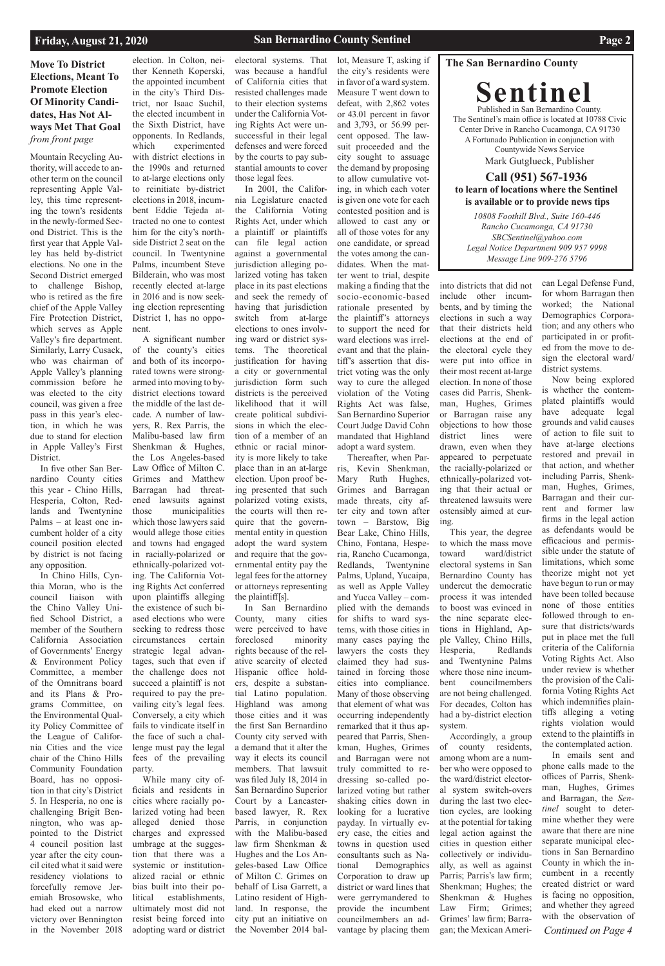## **San Bernardino County Sentinel Page 2**

**The San Bernardino County**

**Sentinel**

Published in San Bernardino County. The Sentinel's main office is located at 10788 Civic Center Drive in Rancho Cucamonga, CA 91730 A Fortunado Publication in conjunction with Countywide News Service Mark Gutglueck, Publisher **Call (951) 567-1936 to learn of locations where the Sentinel is available or to provide news tips** 

**Move To District Elections, Meant To Promote Election Of Minority Candidates, Has Not Always Met That Goal**  *from front page*

> *10808 Foothill Blvd., Suite 160-446 Rancho Cucamonga, CA 91730 SBCSentinel@yahoo.com Legal Notice Department 909 957 9998 Message Line 909-276 5796*

## **Friday, August 21, 2020**

Mountain Recycling Authority, will accede to another term on the council representing Apple Valley, this time representing the town's residents in the newly-formed Second District. This is the first year that Apple Valley has held by-district elections. No one in the Second District emerged to challenge Bishop, who is retired as the fire chief of the Apple Valley Fire Protection District, which serves as Apple Valley's fire department. Similarly, Larry Cusack, who was chairman of Apple Valley's planning commission before he was elected to the city council, was given a free pass in this year's election, in which he was due to stand for election in Apple Valley's First District.

In five other San Bernardino County cities this year - Chino Hills, Hesperia, Colton, Redlands and Twentynine Palms – at least one incumbent holder of a city council position elected by district is not facing any opposition.

In Chino Hills, Cynthia Moran, who is the council liaison with the Chino Valley Unified School District, a member of the Southern California Association of Governments' Energy & Environment Policy Committee, a member of the Omnitrans board and its Plans & Programs Committee, on the Environmental Quality Policy Committee of the League of California Cities and the vice chair of the Chino Hills Community Foundation Board, has no opposition in that city's District 5. In Hesperia, no one is challenging Brigit Bennington, who was appointed to the District 4 council position last year after the city council cited what it said were residency violations to forcefully remove Jeremiah Brosowske, who had eked out a narrow victory over Bennington in the November 2018

election. In Colton, neither Kenneth Koperski, the appointed incumbent in the city's Third District, nor Isaac Suchil, the elected incumbent in the Sixth District, have opponents. In Redlands, which experimented with district elections in the 1990s and returned to at-large elections only to reinitiate by-district elections in 2018, incumbent Eddie Tejeda attracted no one to contest him for the city's northside District 2 seat on the council. In Twentynine Palms, incumbent Steve Bilderain, who was most recently elected at-large in 2016 and is now seeking election representing District 1, has no opponent.

A significant number of the county's cities and both of its incorporated towns were strongarmed into moving to bydistrict elections toward the middle of the last decade. A number of lawyers, R. Rex Parris, the Malibu-based law firm Shenkman & Hughes, the Los Angeles-based Law Office of Milton C. Grimes and Matthew Barragan had threatened lawsuits against those municipalities which those lawyers said would allege those cities and towns had engaged in racially-polarized or ethnically-polarized voting. The California Voting Rights Act conferred upon plaintiffs alleging the existence of such biased elections who were seeking to redress those circumstances certain strategic legal advantages, such that even if the challenge does not succeed a plaintiff is not required to pay the prevailing city's legal fees. Conversely, a city which fails to vindicate itself in the face of such a challenge must pay the legal

fees of the prevailing party.

While many city officials and residents in cities where racially polarized voting had been alleged denied those charges and expressed umbrage at the suggestion that there was a systemic or institutionalized racial or ethnic bias built into their political establishments, ultimately most did not resist being forced into adopting ward or district

electoral systems. That was because a handful of California cities that resisted challenges made to their election systems under the California Voting Rights Act were unsuccessful in their legal defenses and were forced by the courts to pay substantial amounts to cover those legal fees.

In 2001, the California Legislature enacted the California Voting Rights Act, under which a plaintiff or plaintiffs can file legal action against a governmental jurisdiction alleging polarized voting has taken place in its past elections and seek the remedy of having that jurisdiction switch from at-large elections to ones involving ward or district systems. The theoretical justification for having a city or governmental jurisdiction form such districts is the perceived likelihood that it will create political subdivisions in which the election of a member of an ethnic or racial minority is more likely to take place than in an at-large election. Upon proof being presented that such polarized voting exists, the courts will then require that the governmental entity in question adopt the ward system and require that the governmental entity pay the legal fees for the attorney or attorneys representing the plaintiff[s].

*Continued on Page 4* Now being explored is whether the contemplated plaintiffs would have adequate legal grounds and valid causes of action to file suit to have at-large elections restored and prevail in that action, and whether including Parris, Shenkman, Hughes, Grimes, Barragan and their current and former law firms in the legal action as defendants would be efficacious and permissible under the statute of limitations, which some theorize might not yet have begun to run or may have been tolled because none of those entities followed through to ensure that districts/wards put in place met the full criteria of the California Voting Rights Act. Also under review is whether the provision of the California Voting Rights Act which indemnifies plaintiffs alleging a voting rights violation would extend to the plaintiffs in the contemplated action. In emails sent and phone calls made to the offices of Parris, Shenkman, Hughes, Grimes and Barragan, the *Sentinel* sought to determine whether they were aware that there are nine separate municipal elections in San Bernardino County in which the incumbent in a recently created district or ward is facing no opposition, and whether they agreed with the observation of

In San Bernardino County, many cities were perceived to have foreclosed minority rights because of the relative scarcity of elected Hispanic office holders, despite a substantial Latino population. Highland was among those cities and it was the first San Bernardino County city served with a demand that it alter the way it elects its council members. That lawsuit was filed July 18, 2014 in San Bernardino Superior Court by a Lancasterbased lawyer, R. Rex Parris, in conjunction with the Malibu-based law firm Shenkman & Hughes and the Los Angeles-based Law Office of Milton C. Grimes on behalf of Lisa Garrett, a Latino resident of Highland. In response, the city put an initiative on the November 2014 ballot, Measure T, asking if the city's residents were in favor of a ward system. Measure T went down to defeat, with 2,862 votes or 43.01 percent in favor and 3,793, or 56.99 percent opposed. The lawsuit proceeded and the city sought to assuage the demand by proposing to allow cumulative voting, in which each voter is given one vote for each contested position and is allowed to cast any or all of those votes for any one candidate, or spread the votes among the candidates. When the matter went to trial, despite making a finding that the socio-economic-based rationale presented by the plaintiff's attorneys to support the need for ward elections was irrelevant and that the plaintiff's assertion that district voting was the only way to cure the alleged violation of the Voting Rights Act was false, San Bernardino Superior Court Judge David Cohn mandated that Highland adopt a ward system.

Thereafter, when Parris, Kevin Shenkman, Mary Ruth Hughes, Grimes and Barragan made threats, city after city and town after town – Barstow, Big Bear Lake, Chino Hills, Chino, Fontana, Hesperia, Rancho Cucamonga, Redlands, Twentynine Palms, Upland, Yucaipa, as well as Apple Valley and Yucca Valley – complied with the demands for shifts to ward systems, with those cities in many cases paying the lawyers the costs they claimed they had sustained in forcing those cities into compliance. Many of those observing that element of what was occurring independently remarked that it thus appeared that Parris, Shenkman, Hughes, Grimes and Barragan were not truly committed to redressing so-called polarized voting but rather shaking cities down in looking for a lucrative payday. In virtually every case, the cities and towns in question used consultants such as National Demographics Corporation to draw up district or ward lines that were gerrymandered to provide the incumbent councilmembers an advantage by placing them ing.

into districts that did not include other incumbents, and by timing the elections in such a way that their districts held elections at the end of the electoral cycle they were put into office in their most recent at-large election. In none of those cases did Parris, Shenkman, Hughes, Grimes or Barragan raise any objections to how those district lines were drawn, even when they appeared to perpetuate the racially-polarized or ethnically-polarized voting that their actual or threatened lawsuits were ostensibly aimed at cur-

This year, the degree to which the mass move toward ward/district electoral systems in San Bernardino County has undercut the democratic process it was intended to boost was evinced in the nine separate elections in Highland, Apple Valley, Chino Hills, Hesperia, Redlands and Twentynine Palms where those nine incumbent councilmembers are not being challenged. For decades, Colton has had a by-district election system.

Accordingly, a group of county residents,

among whom are a number who were opposed to the ward/district electoral system switch-overs during the last two election cycles, are looking at the potential for taking legal action against the cities in question either collectively or individually, as well as against Parris; Parris's law firm; Shenkman; Hughes; the Shenkman & Hughes Law Firm; Grimes; Grimes' law firm; Barragan; the Mexican Ameri-

can Legal Defense Fund, for whom Barragan then worked; the National Demographics Corporation; and any others who participated in or profited from the move to design the electoral ward/ district systems.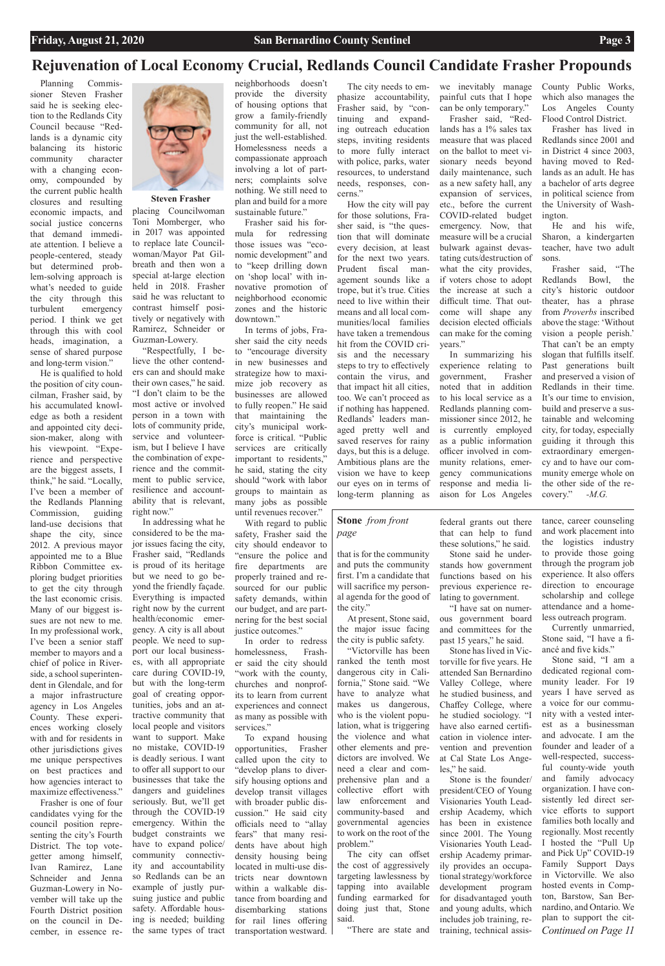## **Rejuvenation of Local Economy Crucial, Redlands Council Candidate Frasher Propounds**



**Stone** *from front page*

Planning Commissioner Steven Frasher said he is seeking election to the Redlands City Council because "Redlands is a dynamic city balancing its historic community character with a changing economy, compounded by the current public health closures and resulting economic impacts, and social justice concerns that demand immediate attention. I believe a people-centered, steady but determined problem-solving approach is what's needed to guide the city through this turbulent emergency period. I think we get through this with cool heads, imagination, a sense of shared purpose and long-term vision."

He is qualified to hold the position of city councilman, Frasher said, by his accumulated knowledge as both a resident and appointed city decision-maker, along with his viewpoint. "Experience and perspective are the biggest assets, I think," he said. "Locally, I've been a member of the Redlands Planning Commission, guiding land-use decisions that shape the city, since 2012. A previous mayor appointed me to a Blue Ribbon Committee exploring budget priorities to get the city through the last economic crisis. Many of our biggest issues are not new to me. In my professional work, I've been a senior staff member to mayors and a chief of police in Riverside, a school superintendent in Glendale, and for a major infrastructure agency in Los Angeles County. These experiences working closely with and for residents in other jurisdictions gives me unique perspectives on best practices and how agencies interact to maximize effectiveness." Frasher is one of four candidates vying for the council position representing the city's Fourth District. The top votegetter among himself, Ivan Ramirez, Lane Schneider and Jenna Guzman-Lowery in November will take up the Fourth District position on the council in December, in essence replacing Councilwoman Toni Momberger, who in 2017 was appointed to replace late Councilwoman/Mayor Pat Gilbreath and then won a special at-large election held in 2018. Frasher said he was reluctant to contrast himself positively or negatively with Ramirez, Schneider or Guzman-Lowery.

> In order to redress homelessness, Frasher said the city should "work with the county, churches and nonprofits to learn from current experiences and connect as many as possible with services."

"Respectfully, I believe the other contenders can and should make their own cases," he said. "I don't claim to be the most active or involved person in a town with lots of community pride, service and volunteerism, but I believe I have the combination of experience and the commitment to public service, resilience and accountability that is relevant, right now."

In addressing what he considered to be the major issues facing the city, Frasher said, "Redlands is proud of its heritage but we need to go beyond the friendly façade. Everything is impacted right now by the current health/economic emergency. A city is all about people. We need to support our local businesses, with all appropriate care during COVID-19, but with the long-term goal of creating opportunities, jobs and an attractive community that local people and visitors want to support. Make no mistake, COVID-19 is deadly serious. I want to offer all support to our businesses that take the dangers and guidelines seriously. But, we'll get through the COVID-19 emergency. Within the budget constraints we have to expand police/ community connectivity and accountability so Redlands can be an example of justly pursuing justice and public safety. Affordable housing is needed; building the same types of tract

neighborhoods doesn't provide the diversity of housing options that grow a family-friendly community for all, not just the well-established. Homelessness needs a compassionate approach involving a lot of partners; complaints solve nothing. We still need to plan and build for a more sustainable future."

Frasher said his formula for redressing those issues was "economic development" and to "keep drilling down on 'shop local' with innovative promotion of neighborhood economic zones and the historic downtown."

In terms of jobs, Frasher said the city needs to "encourage diversity in new businesses and strategize how to maximize job recovery as businesses are allowed to fully reopen." He said that maintaining the city's municipal workforce is critical. "Public services are critically important to residents," he said, stating the city should "work with labor groups to maintain as many jobs as possible until revenues recover."

With regard to public safety, Frasher said the city should endeavor to "ensure the police and fire departments are properly trained and resourced for our public safety demands, within our budget, and are partnering for the best social justice outcomes."

To expand housing opportunities, Frasher called upon the city to "develop plans to diversify housing options and develop transit villages with broader public discussion." He said city officials need to "allay fears" that many residents have about high density housing being located in multi-use districts near downtown within a walkable distance from boarding and disembarking stations for rail lines offering transportation westward.

*Continued on Page 11* Stone said, "I am a dedicated regional community leader. For 19 years I have served as a voice for our community with a vested interest as a businessman and advocate. I am the founder and leader of a well-respected, successful county-wide youth and family advocacy organization. I have consistently led direct service efforts to support families both locally and regionally. Most recently I hosted the "Pull Up and Pick Up" COVID-19 Family Support Days in Victorville. We also hosted events in Compton, Barstow, San Bernardino, and Ontario. We plan to support the cit-

The city needs to emphasize accountability, Frasher said, by "continuing and expanding outreach education steps, inviting residents to more fully interact with police, parks, water resources, to understand needs, responses, concerns."

How the city will pay for those solutions, Frasher said, is "the question that will dominate every decision, at least for the next two years. Prudent fiscal management sounds like a trope, but it's true. Cities need to live within their means and all local communities/local families have taken a tremendous hit from the COVID crisis and the necessary steps to try to effectively contain the virus, and that impact hit all cities, too. We can't proceed as if nothing has happened. Redlands' leaders managed pretty well and saved reserves for rainy days, but this is a deluge. Ambitious plans are the vision we have to keep our eyes on in terms of long-term planning as

we inevitably manage painful cuts that I hope can be only temporary."

Frasher said, "Redlands has a 1% sales tax measure that was placed on the ballot to meet visionary needs beyond daily maintenance, such as a new safety hall, any expansion of services, etc., before the current COVID-related budget emergency. Now, that measure will be a crucial bulwark against devastating cuts/destruction of what the city provides, if voters chose to adopt the increase at such a difficult time. That outcome will shape any decision elected officials can make for the coming years."

In summarizing his experience relating to government, Frasher noted that in addition to his local service as a Redlands planning commissioner since 2012, he is currently employed as a public information officer involved in community relations, emergency communications response and media liaison for Los Angeles

County Public Works, which also manages the Los Angeles County Flood Control District.

Frasher has lived in Redlands since 2001 and in District 4 since 2003, having moved to Redlands as an adult. He has a bachelor of arts degree in political science from the University of Washington.

He and his wife, Sharon, a kindergarten teacher, have two adult sons.

Frasher said, "The Redlands Bowl, the city's historic outdoor theater, has a phrase from *Proverbs* inscribed above the stage: 'Without vision a people perish.' That can't be an empty slogan that fulfills itself. Past generations built and preserved a vision of Redlands in their time. It's our time to envision, build and preserve a sustainable and welcoming city, for today, especially guiding it through this extraordinary emergency and to have our community emerge whole on the other side of the recovery." *-M.G.*

that is for the community and puts the community first. I'm a candidate that will sacrifice my personal agenda for the good of the city."

At present, Stone said, the major issue facing the city is public safety.

"Victorville has been ranked the tenth most dangerous city in California," Stone said. "We have to analyze what makes us dangerous, who is the violent population, what is triggering the violence and what other elements and predictors are involved. We need a clear and comprehensive plan and a collective effort with law enforcement and community-based and governmental agencies to work on the root of the problem." The city can offset the cost of aggressively targeting lawlessness by tapping into available funding earmarked for doing just that, Stone said. "There are state and

federal grants out there that can help to fund these solutions," he said.

Stone said he understands how government functions based on his previous experience relating to government.

"I have sat on numerous government board and committees for the past 15 years," he said.

Stone has lived in Victorville for five years. He attended San Bernardino Valley College, where he studied business, and Chaffey College, where he studied sociology. "I have also earned certification in violence intervention and prevention

at Cal State Los Angeles," he said. Stone is the founder/ president/CEO of Young Visionaries Youth Leadership Academy, which has been in existence since 2001. The Young Visionaries Youth Leadership Academy primarily provides an occupational strategy/workforce development program for disadvantaged youth and young adults, which includes job training, retraining, technical assis-

tance, career counseling and work placement into the logistics industry to provide those going through the program job experience. It also offers direction to encourage scholarship and college attendance and a homeless outreach program.

Currently unmarried, Stone said, "I have a fiancé and five kids."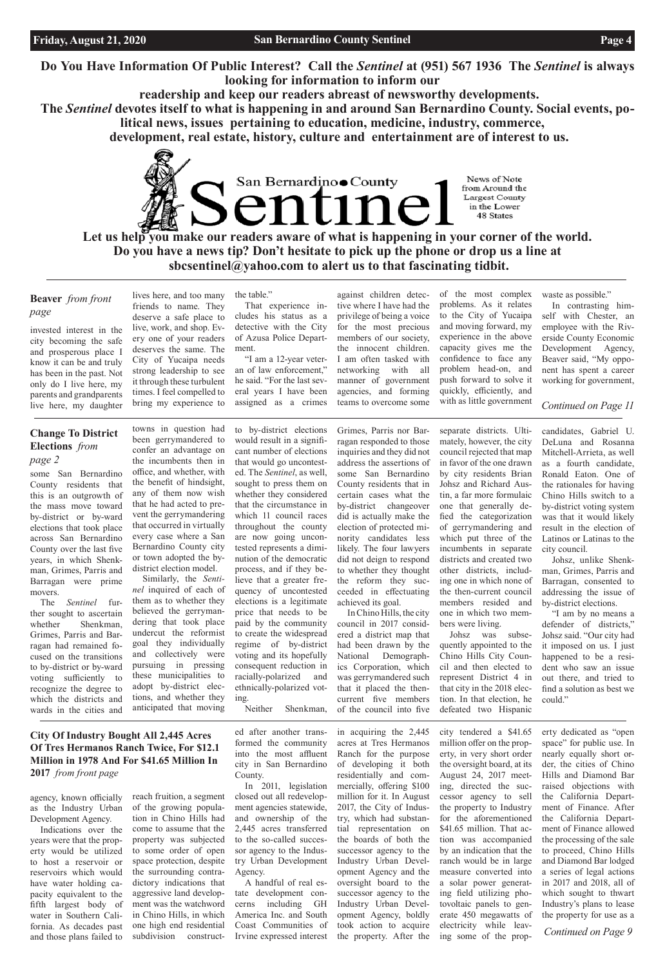## **Change To District Elections** *from page 2*

**Do You Have Information Of Public Interest? Call the** *Sentinel* **at (951) 567 1936 The** *Sentinel* **is always looking for information to inform our**

 **readership and keep our readers abreast of newsworthy developments.**

San Bernardino County

**The** *Sentinel* **devotes itself to what is happening in and around San Bernardino County. Social events, political news, issues pertaining to education, medicine, industry, commerce,**

 **development, real estate, history, culture and entertainment are of interest to us.** 

News of Note from Around the Largest County in the Lower 48 States

## *Continued on Page 11*

**Let us help you make our readers aware of what is happening in your corner of the world. Do you have a news tip? Don't hesitate to pick up the phone or drop us a line at sbcsentinel@yahoo.com to alert us to that fascinating tidbit.**

sentinel

**City Of Industry Bought All 2,445 Acres Of Tres Hermanos Ranch Twice, For \$12.1** 

**Million in 1978 And For \$41.65 Million In 2017** *from front page* 

agency, known officially as the Industry Urban Development Agency.

Indications over the years were that the property would be utilized to host a reservoir or reservoirs which would have water holding capacity equivalent to the fifth largest body of water in Southern California. As decades past and those plans failed to

reach fruition, a segment of the growing population in Chino Hills had come to assume that the property was subjected to some order of open space protection, despite the surrounding contradictory indications that aggressive land development was the watchword in Chino Hills, in which one high end residential subdivision construct-

ed after another transformed the community into the most affluent city in San Bernardino County.

In 2011, legislation closed out all redevelopment agencies statewide, and ownership of the 2,445 acres transferred to the so-called successor agency to the Industry Urban Development Agency.

A handful of real estate development concerns including GH America Inc. and South Coast Communities of Irvine expressed interest

*Continued on Page 9* erty dedicated as "open space" for public use. In nearly equally short order, the cities of Chino Hills and Diamond Bar raised objections with the California Department of Finance. After the California Department of Finance allowed the processing of the sale to proceed, Chino Hills and Diamond Bar lodged a series of legal actions in 2017 and 2018, all of which sought to thwart Industry's plans to lease the property for use as a

in acquiring the 2,445 acres at Tres Hermanos Ranch for the purpose of developing it both residentially and commercially, offering \$100 million for it. In August 2017, the City of Industry, which had substantial representation on the boards of both the successor agency to the Industry Urban Development Agency and the oversight board to the successor agency to the Industry Urban Development Agency, boldly took action to acquire the property. After the

city tendered a \$41.65 million offer on the property, in very short order the oversight board, at its August 24, 2017 meeting, directed the successor agency to sell the property to Industry for the aforementioned \$41.65 million. That action was accompanied by an indication that the ranch would be in large measure converted into a solar power generating field utilizing photovoltaic panels to generate 450 megawatts of electricity while leaving some of the prop-

some San Bernardino County residents that this is an outgrowth of the mass move toward by-district or by-ward elections that took place across San Bernardino County over the last five years, in which Shenkman, Grimes, Parris and Barragan were prime movers.

The *Sentinel* further sought to ascertain whether Shenkman, Grimes, Parris and Barragan had remained focused on the transitions to by-district or by-ward voting sufficiently to recognize the degree to which the districts and wards in the cities and

towns in question had been gerrymandered to confer an advantage on the incumbents then in office, and whether, with the benefit of hindsight, any of them now wish that he had acted to prevent the gerrymandering that occurred in virtually every case where a San Bernardino County city or town adopted the bydistrict election model.

Similarly, the *Sentinel* inquired of each of them as to whether they believed the gerrymandering that took place undercut the reformist goal they individually and collectively were pursuing in pressing these municipalities to adopt by-district elections, and whether they anticipated that moving

to by-district elections would result in a significant number of elections that would go uncontested. The *Sentinel*, as well, sought to press them on whether they considered that the circumstance in which 11 council races throughout the county are now going uncontested represents a diminution of the democratic process, and if they believe that a greater frequency of uncontested elections is a legitimate price that needs to be paid by the community to create the widespread regime of by-district voting and its hopefully consequent reduction in racially-polarized and ethnically-polarized voting.

Neither Shenkman,

Grimes, Parris nor Barragan responded to those inquiries and they did not address the assertions of some San Bernardino County residents that in certain cases what the by-district changeover did is actually make the election of protected minority candidates less likely. The four lawyers did not deign to respond to whether they thought the reform they succeeded in effectuating achieved its goal.

In Chino Hills, the city council in 2017 considered a district map that had been drawn by the National Demographics Corporation, which was gerrymandered such that it placed the thencurrent five members of the council into five

separate districts. Ultimately, however, the city council rejected that map in favor of the one drawn by city residents Brian Johsz and Richard Austin, a far more formulaic one that generally defied the categorization of gerrymandering and which put three of the incumbents in separate districts and created two other districts, including one in which none of the then-current council members resided and one in which two mem-

bers were living. Johsz was subsequently appointed to the Chino Hills City Council and then elected to represent District 4 in that city in the 2018 election. In that election, he defeated two Hispanic

candidates, Gabriel U. DeLuna and Rosanna Mitchell-Arrieta, as well as a fourth candidate, Ronald Eaton. One of the rationales for having Chino Hills switch to a by-district voting system was that it would likely result in the election of Latinos or Latinas to the city council.

Johsz, unlike Shenkman, Grimes, Parris and Barragan, consented to addressing the issue of by-district elections.

"I am by no means a defender of districts," Johsz said. "Our city had it imposed on us. I just happened to be a resident who saw an issue out there, and tried to find a solution as best we could."

invested interest in the city becoming the safe and prosperous place I know it can be and truly has been in the past. Not only do I live here, my parents and grandparents live here, my daughter

lives here, and too many friends to name. They deserve a safe place to live, work, and shop. Every one of your readers deserves the same. The City of Yucaipa needs strong leadership to see it through these turbulent times. I feel compelled to bring my experience to

the table."

That experience includes his status as a detective with the City of Azusa Police Department.

"I am a 12-year veteran of law enforcement," he said. "For the last several years I have been assigned as a crimes against children detec-

tive where I have had the privilege of being a voice for the most precious members of our society, the innocent children. I am often tasked with networking with all manner of government agencies, and forming teams to overcome some of the most complex problems. As it relates to the City of Yucaipa and moving forward, my experience in the above capacity gives me the confidence to face any problem head-on, and push forward to solve it quickly, efficiently, and with as little government

waste as possible."

In contrasting himself with Chester, an employee with the Riverside County Economic Development Agency, Beaver said, "My opponent has spent a career working for government,

## **Beaver** *from front page*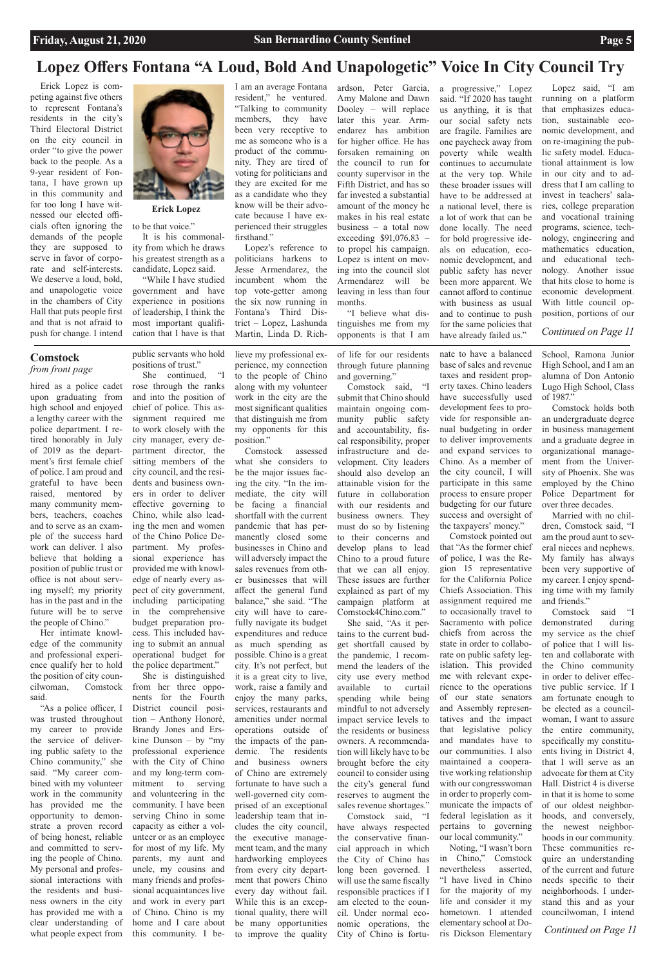## **Erick Lopez**

## **Comstock**

*from front page*

### *Continued on Page 11*

*Continued on Page 11*

## **Lopez Offers Fontana "A Loud, Bold And Unapologetic" Voice In City Council Try**

hired as a police cadet upon graduating from high school and enjoyed a lengthy career with the police department. I retired honorably in July of 2019 as the department's first female chief of police. I am proud and grateful to have been raised, mentored by many community members, teachers, coaches and to serve as an example of the success hard work can deliver. I also believe that holding a position of public trust or office is not about serving myself; my priority has in the past and in the future will be to serve the people of Chino."

Her intimate knowledge of the community and professional experience qualify her to hold the position of city councilwoman, Comstock said.

"As a police officer, I was trusted throughout my career to provide the service of delivering public safety to the

Chino community," she said. "My career combined with my volunteer work in the community has provided me the opportunity to demonstrate a proven record of being honest, reliable and committed to serving the people of Chino. My personal and professional interactions with the residents and business owners in the city has provided me with a clear understanding of what people expect from

public servants who hold positions of trust."

She continued, "I rose through the ranks and into the position of chief of police. This assignment required me to work closely with the city manager, every department director, the sitting members of the city council, and the residents and business owners in order to deliver effective governing to Chino, while also leading the men and women of the Chino Police Department. My professional experience has provided me with knowledge of nearly every aspect of city government, including participating in the comprehensive budget preparation process. This included having to submit an annual operational budget for the police department."

She is distinguished from her three opponents for the Fourth District council position – Anthony Honoré, Brandy Jones and Erskine Dunson – by "my professional experience with the City of Chino and my long-term commitment to serving and volunteering in the community. I have been serving Chino in some capacity as either a volunteer or as an employee for most of my life. My parents, my aunt and uncle, my cousins and many friends and professional acquaintances live and work in every part of Chino. Chino is my home and I care about this community. I be-

lieve my professional experience, my connection to the people of Chino along with my volunteer work in the city are the most significant qualities that distinguish me from my opponents for this

position."

Comstock assessed what she considers to be the major issues facing the city. "In the immediate, the city will be facing a financial shortfall with the current pandemic that has permanently closed some businesses in Chino and will adversely impact the sales revenues from other businesses that will affect the general fund balance," she said. "The city will have to carefully navigate its budget expenditures and reduce as much spending as possible. Chino is a great city. It's not perfect, but it is a great city to live, work, raise a family and enjoy the many parks, services, restaurants and amenities under normal operations outside of the impacts of the pan-

demic. The residents and business owners of Chino are extremely fortunate to have such a well-governed city comprised of an exceptional leadership team that includes the city council, the executive management team, and the many hardworking employees from every city department that powers Chino every day without fail. While this is an exceptional quality, there will be many opportunities to improve the quality

of life for our residents through future planning and governing."

Comstock said, "I submit that Chino should maintain ongoing community public safety and accountability, fiscal responsibility, proper infrastructure and development. City leaders should also develop an attainable vision for the future in collaboration with our residents and business owners. They must do so by listening to their concerns and develop plans to lead Chino to a proud future that we can all enjoy. These issues are further explained as part of my campaign platform at Comstock4Chino.com."

She said, "As it pertains to the current budget shortfall caused by the pandemic, I recommend the leaders of the city use every method available to curtail spending while being mindful to not adversely impact service levels to the residents or business owners. A recommendation will likely have to be brought before the city council to consider using the city's general fund reserves to augment the sales revenue shortages." Comstock said, "I have always respected the conservative financial approach in which the City of Chino has long been governed. I will use the same fiscally responsible practices if I am elected to the council. Under normal economic operations, the City of Chino is fortu-

nate to have a balanced base of sales and revenue taxes and resident property taxes. Chino leaders have successfully used development fees to provide for responsible annual budgeting in order to deliver improvements and expand services to Chino. As a member of the city council, I will participate in this same process to ensure proper budgeting for our future success and oversight of the taxpayers' money."

Comstock pointed out that "As the former chief of police, I was the Region 15 representative for the California Police Chiefs Association. This assignment required me to occasionally travel to Sacramento with police chiefs from across the state in order to collaborate on public safety legislation. This provided me with relevant experience to the operations of our state senators and Assembly representatives and the impact that legislative policy and mandates have to our communities. I also maintained a cooperative working relationship with our congresswoman in order to properly communicate the impacts of federal legislation as it pertains to governing our local community." Noting, "I wasn't born in Chino," Comstock nevertheless asserted, "I have lived in Chino for the majority of my life and consider it my hometown. I attended elementary school at Doris Dickson Elementary

School, Ramona Junior High School, and I am an alumna of Don Antonio Lugo High School, Class of 1987."

Comstock holds both an undergraduate degree in business management and a graduate degree in organizational management from the University of Phoenix. She was employed by the Chino Police Department for over three decades.

Married with no children, Comstock said, "I am the proud aunt to several nieces and nephews. My family has always been very supportive of my career. I enjoy spending time with my family and friends."

Comstock said "I demonstrated during my service as the chief of police that I will listen and collaborate with the Chino community in order to deliver effective public service. If I am fortunate enough to be elected as a councilwoman, I want to assure the entire community, specifically my constituents living in District 4, that I will serve as an advocate for them at City Hall. District 4 is diverse in that it is home to some of our oldest neighborhoods, and conversely, the newest neighborhoods in our community. These communities require an understanding of the current and future needs specific to their neighborhoods. I understand this and as your councilwoman, I intend

Erick Lopez is competing against five others to represent Fontana's residents in the city's Third Electoral District on the city council in order "to give the power back to the people. As a 9-year resident of Fontana, I have grown up in this community and for too long I have witnessed our elected officials often ignoring the demands of the people they are supposed to serve in favor of corporate and self-interests. We deserve a loud, bold, and unapologetic voice in the chambers of City Hall that puts people first and that is not afraid to push for change. I intend



to be that voice."

It is his commonality from which he draws his greatest strength as a candidate, Lopez said.

"While I have studied government and have experience in positions of leadership, I think the most important qualification that I have is that I am an average Fontana resident," he ventured. "Talking to community

members, they have been very receptive to me as someone who is a product of the community. They are tired of voting for politicians and they are excited for me as a candidate who they know will be their advocate because I have experienced their struggles firsthand." Lopez's reference to politicians harkens to

Jesse Armendarez, the incumbent whom the top vote-getter among the six now running in Fontana's Third District – Lopez, Lashunda Martin, Linda D. Richardson, Peter Garcia, Amy Malone and Dawn Dooley – will replace later this year. Armendarez has ambition for higher office. He has forsaken remaining on the council to run for county supervisor in the Fifth District, and has so far invested a substantial amount of the money he makes in his real estate business – a total now exceeding \$91,076.83 – to propel his campaign. Lopez is intent on moving into the council slot Armendarez will be leaving in less than four months.

"I believe what distinguishes me from my opponents is that I am a progressive," Lopez said. "If 2020 has taught us anything, it is that our social safety nets are fragile. Families are one paycheck away from poverty while wealth continues to accumulate at the very top. While these broader issues will have to be addressed at a national level, there is a lot of work that can be done locally. The need for bold progressive ideals on education, economic development, and public safety has never been more apparent. We cannot afford to continue with business as usual and to continue to push for the same policies that have already failed us."

Lopez said, "I am running on a platform that emphasizes education, sustainable economic development, and on re-imagining the public safety model. Educational attainment is low in our city and to address that I am calling to invest in teachers' salaries, college preparation and vocational training programs, science, technology, engineering and mathematics education, and educational technology. Another issue that hits close to home is economic development. With little council opposition, portions of our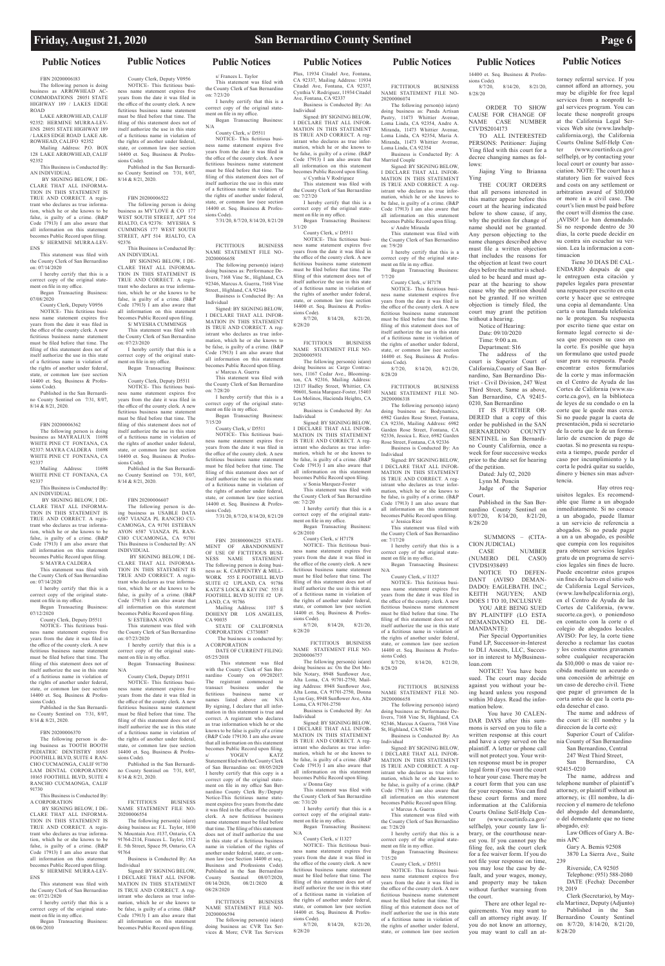### **Public Notices Public Notices Public Notices Public Notices Public Notices Public Notices Public Notices**

FBN 20200006183

Mailing Address: P.O. BOX 128 LAKE ARROWHEAD, CALIF 92352

The following person is doing business as ARROWHEAD AC-COMMODATIONS 28051 STATE HIGHWAY 189 / LAKES EDGE ROAD

LAKE ARROWHEAD, CALIF 92352: HERMINE MURRA-LEV-ENS 28051 STATE HIGHWAY 189 / LAKES EDGE ROAD LAKE AR-ROWHEAD, CALIFO 92352

This Business is Conducted By: AN INDIVIDUAL

Began Transacting Business:  $07/08/2020$ 

 BY SIGNING BELOW, I DE-CLARE THAT ALL INFORMA-TION IN THIS STATEMENT IS TRUE AND CORRECT. A registrant who declares as true information, which he or she knows to be false, is guilty of a crime. (B&P Code 17913) I am also aware that all information on this statement becomes Public Record upon filing. S/ HERMINE MURRA-LEV-

ENS This statement was filed with

the County Clerk of San Bernardino on: 07/14/2020

Mailing Address: 11698 WHITE PINE CT FONTANA, CA 92337

Began Transacting Business:  $07/12/2020$ 

County Clerk, Deputy V0956 NOTICE- This fictitious business name statement expires five years from the date it was filed in the office of the county clerk. A new fictitious business name statement must be filed before that time. The filing of this statement does not of itself authorize the use in this state of a fictitious name in violation of the rights of another under federal, state, or common law (see section 14400 et. Seq. Business & Professions Code).

Published in the San Bernardino County Sentinel on 7/31, 8/07, 8/14 & 8/21, 2020.

#### FBN 20200006362

The following person is doing business as MAYRALIUX 11698 WHITE PINE CT FONTANA, CA 92337: MAYRA CALDERA 11698 WHITE PINE CT FONTANA, CA 92337

This statement was filed with the County Clerk of San Bernardino on:  $07/21/2020$ 

This Business is Conducted By: AN INDIVIDUAL

Began Transacting Business: 08/06/2010

 BY SIGNING BELOW, I DE-CLARE THAT ALL INFORMA-TION IN THIS STATEMENT IS TRUE AND CORRECT. A registrant who declares as true information, which he or she knows to be false, is guilty of a crime. (B&P Code 17913) I am also aware that all information on this statement becomes Public Record upon filing.

S/ MAYRA CALDERA

business as MY'LOVE & CO 177 WEST SOUTH STREET, APT 514 RIALTO, CA 92376: MYESHA S CUMMINGS 177 WEST SOUTH STREET, APT 514 RIALTO CA

This statement was filed with the County Clerk of San Bernardino on: 07/14/2020

I hereby certify that this is a correct copy of the original statement on file in my office.

I hereby certify that this is a correct copy of the original statement on file in my office.

County Clerk, Deputy D5511 NOTICE- This fictitious business name statement expires five years from the date it was filed in the office of the county clerk. A new fictitious business name statement must be filed before that time. The filing of this statement does not of itself authorize the use in this state of a fictitious name in violation of the rights of another under federal,<br>state or common law (see section  $\sigma$  common law (see section 14400 et. Seq. Business & Professions Code).

Published in the San Bernardino County Sentinel on 7/31, 8/07,

I hereby certify that this is a correct copy of the original statement on file in my office. TION IN THIS STATEMENT IS TRUE AND CORRECT. A registrant who declares as true information, which he or she knows to be

Published in the San Bernardino County Sentinel on 7/31, 8/07, 8/14 & 8/21, 2020.

#### FBN 20200006370

The following person is doing business as TOOTH BOOTH

PEDIATRIC DENTISTRY 10165 FOOTHILL BLVD, SUITE 4 RAN-CHO CUCMAONGA, CALIF 91730 LAM DENTAL CORPORATION 10165 FOOTHILL BLVD, SUITE 4 RANCHO CUCMAONGA, CALIF 91730

This Business is Conducted By:

#### A CORPORATION

BY SIGNING BELOW, I DE-CLARE THAT ALL INFORMA-TION IN THIS STATEMENT IS TRUE AND CORRECT. A registrant who declares as true information, which he or she knows to be false, is guilty of a crime. (B&P Code 17913) I am also aware that all information on this statement becomes Public Record upon filing. S/ HERMINE MURRA-LEV-

the office of the county clerk. A new fictitious business name statement must be filed before that time. The filing of this statement does not of itself authorize the use in this state of a fictitious name in violation of the rights of another under federal.

14400 et. Seq. Business & Professions Code). Published in the San Bernardino County Sentinel on 7/31, 8/07,  $8/14$  &  $8/21, 2020$ .

#### ENS

I hereby certify that this is a correct copy of the original statement on file in my office.

County Clerk, Deputy V0956

ment on file in my office. Began Transacting Business:

must be filed before that time. The

filing of this statement does not of itself authorize the use in this state of a fictitious name in violation of the rights of another under federal, state, or common law (see section 14400 et. Seq. Business & Profes-Published in the San Bernardino County Sentinel on 7/31, 8/07, The following person is doing N/A County Clerk, s/ D5511 NOTICE- This fictitious business name statement expires five years from the date it was filed in the office of the county clerk. A new fictitious business name statement must be filed before that time. The filing of this statement does not of itself authorize the use in this state of a fictitious name in violation of the rights of another under federal. state, or common law (see section

#### FICTITIOUS BUSINESS NAME STATEMENT FILE NO-20200006658 The following person(s) is(are) doing business as: Performance Delivers, 7168 Vine St., Highland, CA 92346, Marcus A. Guerra, 7168 Vine

sions Code).

8/14 & 8/21, 2020.

FBN 20200006522

92376

This Business is Conducted By:

AN INDIVIDUAL

 BY SIGNING BELOW, I DE-CLARE THAT ALL INFORMA-

false, is guilty of a crime. (B&P Code 17913) I am also aware that all information on this statement becomes Public Record upon filing. S/ MYESHA CUMMINGS This statement was filed with the County Clerk of San Bernardino

on: 07/23/2020

 $N/\Delta$ 

05/25/2018 This statement was filed with the County Clerk of San Ber-

Began Transacting Business:

as true information which he or she knows to be false is guilty of a crime that all information on this statement becomes Public Record upon filing. s/ **YOGEV KATZ**<br>Statement filed with the County Clerk

County Clerk, Deputy D5511 NOTICE- This fictitious business name statement expires five years from the date it was filed in the office of the county clerk. A new fictitious business name statement must be filed before that time. The filing of this statement does not of itself authorize the use in this state of a fictitious name in violation of the rights of another under federal, state, or common law (see section 14400 et. Seq. Business & Profes-

> nardino County Clerk By:/Deputy Notice-This fictitious name statement expires five years from the date was filed in the office of the county clerk. A new fictitious business name statement must be filed before that time. The filing of this statement does not of itself authorize the use in this state of a fictitious business name in violation of the rights of another under federal, state, or common law (see Section 14400 et seq.,<br>Business and Professions Code) and Professions Code)

sions Code).

mation, which he or she knows to Published in the San Bernardino County Sentinel 08/07/2020, 08/14/2020, 08/21/2020 & 08/28/2020 FICTITIOUS BUSINESS

8/14 & 8/21, 2020.

FBN 20200006607

doing business as: CVR Tax Services & More; CVR Tax Services

NOTICE- This fictitious business name statement expires five years from the date it was filed in the office of the county clerk. A new fictitious business name statement s/ Frances L. Taylor This statement was filed with the County Clerk of San Bernardino on: 7/23/20 I hereby certify that this is a correct copy of the original state-

CAMONGA, CA 91701 ESTEBAN AYON 6587 VIANZA PL RAN-CHO CUCAMONGA, CA 91701 This Business is Conducted By: AN

INDIVIDUAL

MATION IN THIS STATEMENT IS TRUE AND CORRECT. A registrant who declares as true information, which he or she knows to be false, is guilty of a crime. (B&P Code 17913) I am also aware that all information on this statement becomes Public Record upon filing.

 BY SIGNING BELOW, I DE-CLARE THAT ALL INFORMA-TION IN THIS STATEMENT IS TRUE AND CORRECT. A registrant who declares as true information, which he or she knows to be false, is guilty of a crime. (B&P Code 17913) I am also aware that all information on this statement becomes Public Record upon filing. S/ ESTEBAN AYON

on: 07/23/2020

correct copy of the original statement on file in my office.

Began Transacting Business:

N/A

County Clerk, Deputy D5511 NOTICE- This fictitious busi-

Signed: BY SIGNING BELOW, I DECLARE THAT ALL INFOR-MATION IN THIS STATEMENT IS TRUE AND CORRECT. A registrant who declares as true information, which he or she knows to be false, is guilty of a crime. (B&P Code 17913) I am also aware that all information on this statement becomes Public Record upon filing. s/ Sonia Marquez-Foster

### FICTITIOUS BUSINESS NAME STATEMENT FILE NO-20200006554

 $8/7/20$ ,  $8/14/20$ ,  $8/21/20$ , 8/28/20

FICTITIOUS BUSINESS<br>NAME STATEMENT FILE NO-STATEMENT FILE NO-20200006757

The following person(s) is(are) doing business as: F.L. Taylor, 1030 N. Mountain Ave. #137, Ontario, CA 91764-2114, Frances L. Taylor, 1512 E. 5th Street, Space 59, Ontario, CA 91764

Business is Conducted By: An Individual

Signed: BY SIGNING BELOW, I DECLARE THAT ALL INFOR-MATION IN THIS STATEMENT IS TRUE AND CORRECT. A registrant who declares as true infor-

County Clerk, s/ I1327 NOTICE- This fictitious business name statement expires five years from the date it was filed in the office of the county clerk. A new fictitious business name statement must be filed before that time. The filing of this statement does not of itself authorize the use in this state of a fictitious name in violation of the rights of another under federal. state, or common law (see section 14400 et. Seq. Business & Professions Code).<br> $8/7/20$ .

be false, is guilty of a crime. (B&P Code 17913) I am also aware that all information on this statement becomes Public Record upon filing.

The following person is doing business as USABLE DATA 6587 VIANZA PL RANCHO CUstate, or common law (see section 14400 et. Seq. Business & Professions Code). 7/31/20, 8/7/20, 8/14/20, 8/21/20

> $8/14/20$ ,  $8/21/20$ , 8/28/20

Signed: BY SIGNING BELOW, I DECLARE THAT ALL INFOR-MATION IN THIS STATEMENT IS TRUE AND CORRECT. A registrant who declares as true information, which he or she knows to be false, is guilty of a crime. (B&P Code 17913) I am also aware that all information on this statement becomes Public Record upon filing. s/ Andre Miranda

This statement was filed with the County Clerk of San Bernardino I hereby certify that this is a STATE OF CALIFORNIA CORPORATION C3730887 The business is conducted by: A CORPORATION DATE OF CURRENT FILING:

14400 et. Seq. Business & Professions Code). 7/31/20, 8/7/20, 8/14/20, 8/21/20

ness name statement expires five years from the date it was filed in state, or common law (see section nardino County on 09/202017. The registrant commenced to transact business under the<br>fictitious business name or fictitious business name names listed above on: N/A By signing, I declare that all infor-mation in this statement is true and correct. A registrant who declares (B&P Code 179130. I am also aware

Street., Highland, CA 92346 Business is Conducted By: An Individual Signed: BY SIGNING BELOW,

> Individual Signed: BY SIGNING BELOW.

I DECLARE THAT ALL INFOR-MATION IN THIS STATEMENT IS TRUE AND CORRECT. A registrant who declares as true information, which he or she knows to be false, is guilty of a crime. (B&P Code 17913) I am also aware that all information on this statement

> Began Transacting Business: N/A

becomes Public Record upon filing. s/ Marcus A. Guerra This statement was filed with the County Clerk of San Bernardino on: 7/28/20

I hereby certify that this is a correct copy of the original state-

ment on file in my office. Began Transacting Business: 7/15/20

> The following person(s) is(are) doing business as: Performance Delivers, 7168 Vine St, Highland, CA 92346, Marcus A Guerra, 7168 Vine St, Highland, CA 92346 Business is Conducted By: An

County Clerk, s/ D5511 NOTICE- This fictitious business name statement expires five years from the date it was filed in the office of the county clerk. A new fictitious business name statement must be filed before that time. The filing of this statement does not of itself authorize the use in this state of a fictitious name in violation of the rights of another under federal,

> I hereby certify that this is a correct copy of the original statement on file in my office.

### FBN 201800006225 STATE-MENT OF ABANDONMENT OF USE OF FICTITIOUS BUSI-NESS NAME STATEMENT The following person is doing busi-ness as: K. CARPENTRY & MILL-WORK 555 E FOOTHILL BLVD

SUITE #2 UPLAND, CA 91786 KATZ'S LOCK & KEY INC 555 E FOOTHILL BLVD SUITE #2 UP-LAND, CA 91786 Mailing Address: 1107 S DOHENY DR LOS ANGELES, CA 90035

THE COURT ORDERS that all persons interested in this matter appear before this court at the hearing indicated below to show cause, if any, why the petition for change of name should not be granted. Any person objecting to the name changes described above must file a written objection that includes the reasons for the objection at least two court days before the matter is scheduled to be heard and must appear at the hearing to show cause why the petition should not be granted. If no written objection is timely filed, the

You have 30 CALEN-DAR DAYS after this summons is served on you to file a written response at this court and have a copy served on the plaintiff. A letter or phone call

NAME STATEMENT FILE NO-20200006594 The following person(s) is(are) Plus, 11934 Citadel Ave, Fontana, CA 92337, Mailing Address: 11934 Citadel Ave, Fontana, CA 92337, Cynthia V. Rodriguez, 11934 Citadel Ave, Fontana, CA 92337

Business is Conducted By: An Individual Signed: BY SIGNING BELOW, I DECLARE THAT ALL INFOR-

s/ Cynthia V Rodriguez This statement was filed with the County Clerk of San Bernardino on: 7/27/20

I hereby certify that this is a correct copy of the original statement on file in my office. Began Transacting Business:

3/1/20 County Clerk, s/ D5511

NOTICE- This fictitious business name statement expires five years from the date it was filed in the office of the county clerk. A new fictitious business name statement must be filed before that time. The filing of this statement does not of authorize the use in this state of a fictitious name in violation of the rights of another under federal, state, or common law (see section 14400 et. Seq. Business & Professions Code).

of San Bernardino on: 08/05/2020 I hereby certify that this copy is a correct copy of the original statement on file in my office San Berbe false, is guilty of a crime. (B&P Code 17913) I am also aware that all information on this statement becomes Public Record upon filing. s/ Donna Gay

8/7/20, 8/14/20, 8/21/20, 8/28/20

FICTITIOUS BUSINESS NAME STATEMENT FILE NO-20200005931

The following person(s) is(are) doing business as: Cargo Contractors, 11167 Cedar Ave., Bloomington, CA 92316, Mailing Address: 12117 Hadley Street, Whittier, CA 90601, Sonia Marquez-Foster, 15403 Los Molinos, Hacienda Heights, CA 91745

Business is Conducted By: An Individual

This statement was filed with the County Clerk of San Bernardino on: 7/2/20

I hereby certify that this is a correct copy of the original state-ment on file in my office. Began Transacting Business:

6/28/2010 County Clerk, s/ H7178

NOTICE- This fictitious business name statement expires five years from the date it was filed in the office of the county clerk. A new fictitious business name statement must be filed before that time. The filing of this statement does not of itself authorize the use in this state of a fictitious name in violation of the rights of another under federal, state, or common law (see section 14400 et. Seq. Business & Professions Code).

The following person(s) is(are) doing business as: On the Dot Mobile Notary, 8948 Sunflower Ave, Alta Loma, CA 91701-2750, Mailing Address: 8948 Sunflower Ave, Alta Loma, CA 91701-2750, Donna Lynn Gay, 8948 Sunflower Ave, Alta Loma, CA 91701-2750 Business is Conducted By: An

Individual Signed: BY SIGNING BELOW,

I DECLARE THAT ALL INFOR-MATION IN THIS STATEMENT IS TRUE AND CORRECT. A registrant who declares as true information, which he or she knows to

This statement was filed with the County Clerk of San Bernardino on: 7/31/20 I hereby certify that this is a

correct copy of the original statement on file in my office.

Began Transacting Business: N/A

FICTITIOUS BUSINESS NAME STATEMENT FILE NO-20200006074

The following person(s) is(are) doing business as: Panda Artisan Pastry, 11473 Whittier Avenue, Loma Linda, CA 92354, Andre A. Miranda, 11473 Whittier Avenue Loma Linda, CA 92354, Maria A. Miranda, 11473 Whittier Avenue, Loma Linda, CA 92354

Business is Conducted By: A Married Couple

This statement was filed with the County Clerk of San Bernardino on: 7/9/20

I hereby certify that this is a correct copy of the original state-ment on file in my office.

Began Transacting Business: 7/7/20 County Clerk, s/ H7178

NOTICE- This fictitious business name statement expires five years from the date it was filed in the office of the county clerk. A new fictitious business name statement must be filed before that time. The filing of this statement does not of itself authorize the use in this state of a fictitious name in violation of the rights of another under federal, state, or common law (see section 14400 et. Seq. Business & Professions Code).

8/7/20, 8/14/20, 8/21/20, 8/28/20

FICTITIOUS BUSINESS NAME STATEMENT FILE NO-20200006318

The following person(s) is(are) doing business as: Bodynamics 6982 Garden Rose Street, Fontana, CA 92336, Mailing Address: 6982 Garden Rose Street, Fontana, CA 92336, Jessica L. Rice, 6982 Garden Rose Street, Fontana, CA 92336 Business is Conducted By: An

I DECLARE THAT ALL INFOR-MATION IN THIS STATEMENT IS TRUE AND CORRECT. A registrant who declares as true information, which he or she knows to be false, is guilty of a crime. (B&P Code 17913) I am also aware that all information on this statement becomes Public Record upon filing. s/ Jessica Rice

This statement was filed with the County Clerk of San Bernardino on: 7/17/20

I hereby certify that this is a correct copy of the original statement on file in my office.

County Clerk, s/ I1327

NOTICE- This fictitious business name statement expires five years from the date it was filed in the office of the county clerk. A new fictitious business name statement must be filed before that time. The filing of this statement does not of itself authorize the use in this state of a fictitious name in violation of the rights of another under federal, state, or common law (see section 14400 et. Seq. Business & Professions Code).

8/7/20, 8/14/20, 8/21/20, 8/28/20

 FICTITIOUS BUSINESS NAME STATEMENT FILE NO-20200006658

Individual

Signed: BY SIGNING BELOW, I DECLARE THAT ALL

MATION IN THIS STATEMENT IS TRUE AND CORRECT. A registrant who declares as true information, which he or she knows to be false, is guilty of a crime. (B&P Code 17913) I am also aware that all information on this statement becomes Public Record upon filing.

s/ Marcus A. Guerra This statement was filed with the County Clerk of San Bernardino on: 7/28/20

Began Transacting Business: 7/15/20

#### County Clerk, s/ D5511

NOTICE- This fictitious business name statement expires five years from the date it was filed in the office of the county clerk. A new fictitious business name statement must be filed before that time. The filing of this statement does not of itself authorize the use in this state of a fictitious name in violation of the rights of another under federal, state, or common law (see section

## 14400 et. Seq. Business & Profes-

sions Code). 8/7/20, 8/14/20, 8/21/20, 8/28/20 ORDER TO SHOW CAUSE FOR CHANGE OF

NAME CASE NUMBER CIVDS2014173 TO ALL INTERESTED PERSONS: Petitioner: Jiajing

Ying filed with this court for a decree changing names as follows:

Jiajing Ying to Brianna Ying

court may grant the petition

without a hearing. Notice of Hearing: Date: 09/10/2020 Time: 9:00 a.m. Department: S16 The address of the court is Superior Court of California,County of San Bernardino, San Bernardino District - Civil Division, 247 West Third Street, Same as above, San Bernardino, CA 92415- 0210, San Bernardino

IT IS FURTHER OR-DERED that a copy of this order be published in the SAN BERNARDINO COUNTY SENTINEL in San Bernardino County California, once a week for four successive weeks prior to the date set for hearing

of the petition.

Dated: July 02, 2020 Lynn M. Poncin Judge of the Superior

Court.

Published in the San Bernardino County Sentinel on 8/07/20, 8/14/20, 8/21/20,

8/28/20

SUMMONS – (CITA-

DEL CASO)

CASE NUMBER<br>(NUMERO DEL CASO)

CION JUDICIAL)

CIVDS1938493

NOTICE TO DEFEN-DANT (AVISO DEMAN-DADO): EAGLEBATH. INC.; KEITH NGUYEN; AND DOES 1 TO 10, INCLUSIVE YOU ARE BEING SUED BY PLAINTIFF (LO ESTA DEMANDANDO EL DE-

MANDANTE):

Pier Special Opportunities Fund LP, Successor-in-Interest to DLI Assests, LLC, Successor in interest to MyBusiness-

loan.com

NOTICE! You have been sued. The court may decide against you without your being heard unless you respond within 30 days. Read the infor-

mation below.

will not protect you. Your written response must be in proper legal form if you want the court to hear your case. There may be a court form that you can use for your response. You can find these court forms and more information at the California

Courts Online Self-Help Center (www.courtinfo.ca.gov/ selfhelp), your county law library, or the courthouse nearest you. If you cannot pay the filing fee, ask the court clerk for a fee waiver form. If you do not file your response on time, you may lose the case by default, and your wages, money, and property may be taken without further warning from

the court.

 There are other legal requirements. You may want to call an attorney right away. If you do not know an attorney, you may want to call an at-

torney referral service. If you cannot afford an attorney, you may be eligible for free legal services from a nonprofit legal services program. You can locate these nonprofit groups at the California Legal Services Web site (www.lawhelpcalifornia.org), the California Courts Online Self-Help Center (www.courtinfo.ca.gov/ selfhelp), or by contacting your local court or county bar association. NOTE: The court has a statutory lien for waived fees and costs on any settlement or arbitration award of \$10,000 or more in a civil case. The court's lien must be paid before the court will dismiss the case. ¡AVISO! Lo han demandado. Si no responde dentro de 30 dias, la corte puede decidir en su contra sin escuchar su version. Lea la informacion a con-

tinuacion

 Tiene 30 DIAS DE CAL-ENDARIO después de que le entreguen esta citación y papeles legales para presentar una repuesta por escrito en esta corte y hacer que se entreque una copia al demandante. Una carta o una llamada telefonica no le protegen. Su respuesta por escrito tiene que estar on formato legal correcto si desea que procesen su caso en la corte. Es posible que haya un formulano que usted puede usar para su respuesta. Puede encontrar estos formularios de la corte y mas información en el Centro de Ayuda de las Cortes de California (www.sucorte.ca.gov), en la biblioteca de leyes de su condado o en la corte que le quede mas cerca. Si no puede pagar la cuota de presentación, pida si secretario de la corta que le de un formulario de exencion de pago de cuotas. Si no presenta su respuesta a tiempo, puede perder el caso por incumplimiento y la corta le podrá quitar su sueldo, dinero y bienes sin mas adver-

tencia.

Hay otros req-

uisitos legales. Es recomendable que llame a un abogado inmediatamente. Si no conace a un abogado, puede llamar a un servicio de referencia a abogados. Si no peude pagar a un a un abogado, es posible que cumpia con los requisitos para obtener servicios legales gratu de un programa de servicios legales sin fines de lucro. Puede encontrar estos grupos sin fines de lucro en el sitio web de California Legal Services, (www.lawhelpcalifornia.org), en el Centro de Ayuda de las Cortes de California, (www. sucorte.ca.gov), o poniendoso en contacto con la corte o el colegio de abogados locales. AVISO: Por ley, la corte tiene derecho a reclamar las cuotas y los costos exentos gravamen sobre cualquier recuperación da \$10,000 o mas de vaior recibida mediante un aceurdo o una concesión de arbitraje en un caso de derecho civil. Tiene que pagar el gravamen de la corta antes de que la corta pueda desechar el caso.

The name and address of the court is: (El nombre y la direccion de la corte es): Superior Court of California County of San Bernardino San Bernardino, Central

247 West Third Street, San Bernardino, CA 92415-0210

The name, address and telephone number of plaintiff's attorney, or plaintiff without an attorney, is: (El nombre, la direccion y el numero de telefono del abogado del demandante, o del demendante que no tiene abogado, es):

Law Offices of Gary A. Bemis APC

Gary A. Bemis 92508 3870 La Sierra Ave., Suite 239

Riverside, CA 92505 Telephone: (951) 588-2080 DATE (Fecha): December 19, 2019

Clerk (Secretario), by Mayela Martinez, Deputy (Adjunto) Published in the San Bernardino County Sentinel on 8/7/20, 8/14/20, 8/21/20,

8/28/20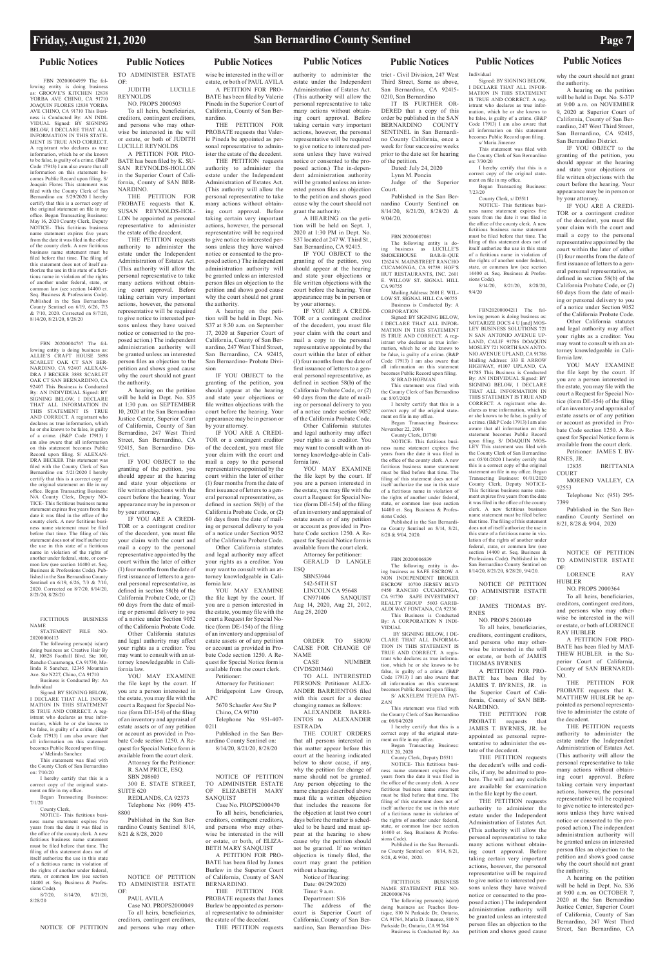## **Public Notices Public Notices Public Notices Public Notices Public Notices Public Notices Public Notices**

FBN 20200004959 The following entity is doing business as: GROOVE'S KITCHEN 12838 YORBA AVE CHINO, CA 91710 JOAQUIN FLORES 12838 YORBA AVE CHINO, CA 91710 This Business is Conducted By: AN INDI-VIDUAL Signed: BY SIGNING BELOW, I DECLARE THAT ALL INFORMATION IN THIS STATE-MENT IS TRUE AND CORRECT. A registrant who declares as true information, which he or she knows to be false, is guilty of a crime. (B&P Code 17913) I am also aware that all information on this statement becomes Public Record upon filing. S/ Joaquin Flores This statement was filed with the County Clerk of San Bernardino on: 5/29/2020 I hereby certify that this is a correct copy of the original statement on file in my office. Began Transacting Business: May 16, 2020 County Clerk, Deputy NOTICE- This fictitious business name statement expires five years from the date it was filed in the office of the county clerk. A new fictitious business name statement must be filed before that time. The filing of this statement does not of itself authorize the use in this state of a fictitious name in violation of the rights of another under federal, state, or common law (see section 14400 et. Seq. Business & Professions Code). Published in the San Bernardino County Sentinel on  $6/19$ ,  $6/26$ , & 7/10, 2020. Corrected on 8/7/20,

FICTITIOUS BUSINESS NAME STATEMENT FILE NO-

8/14/20, 8/21/20, 8/28/20

Signed: BY SIGNING BELOW, I DECLARE THAT ALL INFOR-MATION IN THIS STATEMENT IS TRUE AND CORRECT. A registrant who declares as true information, which he or she knows to be false, is guilty of a crime. (B&P Code 17913) I am also aware that all information on this statement becomes Public Record upon filing.

County Clerk, NOTICE- This fictitious business name statement expires five years from the date it was filed in the office of the county clerk. A new fictitious business name statement must be filed before that time. The filing of this statement does not of itself authorize the use in this state of a fictitious name in violation of the rights of another under federal, state, or common law (see section 14400 et. Seq. Business & Professions Code).<br> $8/7/20$ .

TO ADMINISTER ESTATE OF:<br>JUDITH LUCILLE

FBN 20200004767 The following entity is doing business as: ALLIE'S CRAFT HOUSE 3898 SCARLET OAK CT SAN BER-NARDINO, CA 92407 ALEXAN-DRA J BECKER 3898 SCARLET OAK CT SAN BERNARDINO, CA 92407 This Business is Conducted By: AN INDIVIDUAL Signed: BY SIGNING BELOW I DECLARE THAT ALL INFORMATION IN THIS STATEMENT IS TRUE AND CORRECT. A registrant who declares as true information, which he or she knows to be false, is guilty of a crime. (B&P Code 17913) I am also aware that all information on this statement becomes Public Record upon filing. S/ ALEXAN-DRA BECKER This statement was filed with the County Clerk of San Bernardino on: 5/21/2020 I hereby certify that this is a correct copy of the original statement on file in my office. Began Transacting Business: N/A County Clerk, Deputy NO-TICE- This fictitious business name statement expires five years from the date it was filed in the office of the county clerk. A new fictitious business name statement must be filed before that time. The filing of this statement does not of itself authorize the use in this state of a fictitious name in violation of the rights of another under federal, state, or common law (see section 14400 et. Seq. Business & Professions Code). Published in the San Bernardino County Sentinel on 6/19, 6/26, 7/3 & 7/10 2020. Corrected on 8/7/20, 8/14/20, 8/21/20, 8/28/20

20200006113 The following person(s) is(are)

doing business as: Creative Hair By M, 10828 Foothill Blvd. Ste 100, Rancho Cucamonga, CA 91730, Melinda R Sanchez, 12345 Mountain Ave. Ste N227, Chino, CA 91710

Business is Conducted By: An Individual

> Attorney for the Petitioner: R. SAM PRICE, ESQ. SBN 208603 300 E. STATE STREET, SUITE 620 REDLANDS, CA 92373 Telephone No: (909) 475- 8800

s/ Melinda Sanchez This statement was filed with the County Clerk of San Bernardino on: 7/10/20

I hereby certify that this is a correct copy of the original statement on file in my office.

wise be interested in the will or estate, or both of PAUL AVIL A A PETITION FOR PRO-BATE has been filed by Valerie Pineda in the Superior Court of California, County of San Bernardino. THE PETITION FOR

Began Transacting Business: 7/1/20

8/7/20, 8/14/20, 8/21/20, 8/28/20

NOTICE OF PETITION

REYNOLDS NO. PROPS 2000503

To all heirs, beneficiaries, creditors, contingent creditors, and persons who may otherwise be interested in the will or estate, or both of JUDITH LUCILLE REYNOLDS

A PETITION FOR PRO-BATE has been filed by K. SU-SAN REYNOLDS-HOLLON in the Superior Court of California, County of SAN BER-NARDINO.

> may want to consult with an attorney knowledgeable in California law. YOU MAY EXAMINE

THE PETITION FOR PROBATE requests that K. SUSAN REYNOLDS-HOL-LON be appointed as personal representative to administer the estate of the decedent.

THE PETITION requests authority to administer the estate under the Independent Administration of Estates Act. (This authority will allow the personal representative to take many actions without obtaining court approval. Before taking certain very important actions, however, the personal representative will be required to give notice to interested persons unless they have waived notice or consented to the proposed action.) The independent administration authority will be granted unless an interested person files an objection to the petition and shows good cause why the court should not grant the authority.

A hearing on the petition will be held in Dept. No. S35 at 1:30 p.m. on SEPTEMBER 10, 2020 at the San Bernardino Justice Center, Superior Court of California, County of San Bernardino, 247 West Third Street, San Bernardino, CA 92415, San Bernardino District.

IF YOU OBJECT to the granting of the petition, you should appear at the hearing and state your objections or file written objections with the court before the hearing. Your appearance may be in person or by your attorney. IF YOU ARE A CREDI-

TOR or a contingent creditor of the decedent, you must file your claim with the court and mail a copy to the personal representative appointed by the court within the later of either (1) four months from the date of first issuance of letters to a general personal representative, as defined in section 58(b) of the California Probate Code, or (2) 60 days from the date of mailing or personal delivery to you of a notice under Section 9052 of the California Probate Code. Other California statutes and legal authority may affect your rights as a creditor. You

may want to consult with an attorney knowledgeable in California law. YOU MAY EXAMINE the file kept by the court. If

you are a person interested in the estate, you may file with the court a Request for Special Notice (form DE-154) of the filing of an inventory and appraisal of estate assets or of any petition or account as provided in Probate Code section 1250. A Request for Special Notice form is

available from the court clerk.

Published in the San Bernardino County Sentinel 8/14, 8/21 & 8/28, 2020

NOTICE OF PETITION TO ADMINISTER ESTATE

#### OF: PAUL AVILA Case NO. PROPS2000049 To all heirs, beneficiaries, creditors, contingent creditors, and persons who may other-

PROBATE requests that Valerie Pineda be appointed as personal representative to administer the estate of the decedent.

> The following entity is do-ing business as SAFE ESCROW A NON INDEPENDENT BROKER ESCROW 10700 JERSEY BLVD #450 RANCHO CUCAMONGA, CA 91730 SAFE INVESTMENT REALTY GROUP 5603 GARIB-ALDI WAY FONTANA, CA 92336 This Business is Conducted BY: A CORPORATION N INDI-

THE PETITION requests authority to administer the estate under the Independent Administration of Estates Act. (This authority will allow the personal representative to take many actions without obtaining court approval. Before taking certain very important actions, however, the personal representative will be required to give notice to interested persons unless they have waived notice or consented to the pro-

> correct copy of the original statement on file in my office.

posed action.) The independent administration authority will be granted unless an interested person files an objection to the petition and shows good cause why the court should not grant the authority. A hearing on the peti-

tion will be held in Dept. No. S37 at 8:30 a.m. on September 17, 2020 at Superior Court of California, County of San Bernardino, 247 West Third Street, San Bernardino, CA 92415, San Bernardino- Probate Division

IF YOU OBJECT to the granting of the petition, you should appear at the hearing and state your objections or file written objections with the court before the hearing. Your appearance may be in person or by your attorney.

IF YOU ARE A CREDI-TOR or a contingent creditor of the decedent, you must file your claim with the court and mail a copy to the personal representative appointed by the court within the later of either (1) four months from the date of first issuance of letters to a general personal representative, as defined in section 58(b) of the California Probate Code, or (2) 60 days from the date of mailing or personal delivery to you of a notice under Section 9052

of the California Probate Code. Other California statutes and legal authority may affect your rights as a creditor. You

the file kept by the court. If you are a person interested in the estate, you may file with the court a Request for Special Notice (form DE-154) of the filing of an inventory and appraisal of estate assets or of any petition or account as provided in Probate Code section 1250. A Request for Special Notice form is

available from the court clerk. Petitioner: Attorney for Petitioner: Bridgepoint Law Group,

APC 5670 Schaefer Ave Ste P Chino, CA 91710 Telephone No: 951-407-

0211 Published in the San Bernardino County Sentinel on:

8/14/20, 8/21/20, 8/28/20

NOTICE OF PETITION TO ADMINISTER ESTATE OF ELIZABETH MARY SANQUIST Case No. PROPS2000470 To all heirs, beneficiaries, creditors, contingent creditors, and persons who may otherwise be interested in the will or estate, or both, of ELIZA-BETH MARY SANQUIST A PETITION FOR PRO-BATE has been filed by James Burlew in the Superior Court of California, County of SAN

BERNARDINO. THE PETITION FOR PROBATE requests that James Burlew be appointed as personal representative to administer the estate of the decedent. THE PETITION requests

THE PETITION requests authority to administer the estate under the Independent Administration of Estates Act. (This authority will allow the personal representative to take many actions without obtaining court approval. Before taking certain very important actions, however, the personal representative will be required to give notice to interested persons unless they have waived notice or consented to the proposed action.) The independent administration authority will

authority to administer the estate under the Independent Administration of Estates Act. (This authority will allow the personal representative to take many actions without obtaining court approval. Before taking certain very important actions, however, the personal representative will be required to give notice to interested persons unless they have waived notice or consented to the proposed action.) The in-dependent administration authority will be granted unless an interested person files an objection to the petition and shows good cause why the court should not

grant the authority.

A HEARING on the petition will be held on Sept. 1, 2020 at 1:30 PM in Dept. No. S<sub>37</sub> located at 247 W. Third St., San Bernardino, CA 92415. IF YOU OBJECT to the granting of the petition, you should appear at the hearing and state your objections or file written objections with the court before the hearing. Your appearance may be in person or

by your attorney.

IF YOU ARE A CREDI-TOR or a contingent creditor of the decedent, you must file your claim with the court and mail a copy to the personal representative appointed by the court within the later of either (1) four months from the date of first issuance of letters to a general personal representative, as defined in section 58(b) of the California Probate Code, or (2) 60 days from the date of mailing or personal delivery to you of a notice under section 9052 of the California Probate Code. Other California statutes and legal authority may affect your rights as a creditor. You may want to consult with an attorney knowledge-able in Cali-

fornia law.

**ESQ** 

YOU MAY EXAMINE the file kept by the court. If you are a person interested in the estate, you may file with the court a Request for Special Notice (form DE-154) of the filing of an inventory and appraisal of estate assets or of any petition or account as provided in Probate Code section 1250. A Request for Special Notice form is available from the court clerk. Attorney for petitioner: GERALD D LANGLE

SBN53944 542-54TH ST LINCOLN CA 95648 CN971406 SANQUIST Aug 14, 2020, Aug 21, 2012,

Aug 28, 2020

NAME<br>CASE

ORDER TO SHOW CAUSE FOR CHANGE OF

CIVDS2013460

TO ALL INTERESTED PERSONS: Petitioner ALEX-ANDER BARRIENTOS filed with this court for a decree changing names as follows: ALEXANDER BARRI-ENTOS to ALEXANDER

ESTRADA

THE COURT ORDERS that all persons interested in this matter appear before this

**NUMBER** 

court at the hearing indicated below to show cause, if any, why the petition for change of name should not be granted. Any person objecting to the name changes described above must file a written objection that includes the reasons for the objection at least two court days before the matter is scheduled to be heard and must appear at the hearing to show cause why the petition should not be granted. If no written objection is timely filed, the court may grant the petition without a hearing. Notice of Hearing: Date: 09/29/2020 Time: 9 a.m. Department: S16

The address of the court is Superior Court of California,County of San Bernardino, San Bernardino District - Civil Division, 247 West Third Street, Same as above, San Bernardino, CA 92415- 0210, San Bernardino

IT IS FURTHER OR-DERED that a copy of this order be published in the SAN BERNARDINO COUNTY SENTINEL in San Bernardino County California, once a week for four successive weeks prior to the date set for hearing of the petition.

Dated: July 24, 2020 Lynn M. Poncin

Judge of the Superior

Court. Published in the San Ber-

nardino County Sentinel on 8/14/20, 8/21/20, 8/28/20 & 9/04/20.

#### FBN 20200007081

The following entity is dobusiness as LUCILLE'S<br>KEHOUSE BAR-B-OUE SMOKEHOUSE 12624 N. MAINSTREET RANCHO CUCAMONGA, CA 91739: HOF'S HUT RESTAURANTS, INC. 2601 E. WILLOW ST. SIGNAL HILL CA 90755

Mailing Address: 2601 E. WIL-LOW ST. SIGNAL HILL CA 90755 Business is Conducted By: A

CORPORATION Signed: BY SIGNING BELOW,

I DECLARE THAT ALL INFOR-MATION IN THIS STATEMENT IS TRUE AND CORRECT. A registrant who declares as true information, which he or she knows to be false, is guilty of a crime. (B&P Code 17913) I am also aware that all information on this statement becomes Public Record upon filing. S/ BRAD HOFMAN

This statement was filed with the County Clerk of San Bernardino on: 8/07/2020

I hereby certify that this is a correct copy of the original statement on file in my office.

Began Transacting Business: November 22, 2004 County Clerk, D3780

NOTICE- This fictitious business name statement expires five years from the date it was filed in the office of the county clerk. A new

fictitious business name statement must be filed before that time. The filing of this statement does not of itself authorize the use in this state of a fictitious name in violation of the rights of another under federal, state, or common law (see section 14400 et. Seq. Business & Professions Code).

Published in the San Bernardi-County Sentinel on 8/14, 8/21, 8/28 & 9/04, 2020.

#### FBN 20200006839

VIDUAL BY SIGNING BELOW, I DE-CLARE THAT ALL INFORMA-

TION IN THIS STATEMENT IS TRUE AND CORRECT. A registrant who declares as true information, which he or she knows to be false, is guilty of a crime. (B&P Code 17913) I am also aware that all information on this statement becomes Public Record upon filing. S/ AKXELEM TEJEDA PAT-

ZAN This statement was filed with the County Clerk of San Bernardino

on: 08/04/2020 I hereby certify that this is a

Began Transacting Business: JULY 20, 2020 County Clerk, Deputy D5511 NOTICE- This fictitious business name statement expires five years from the date it was filed in the office of the county clerk. A new fictitious business name statement must be filed before that time. The filing of this statement does not of itself authorize the use in this state of a fictitious name in violation of the rights of another under federal, state, or common law (see section 14400 et. Seq. Business & Professions Code). Published in the San Bernardino County Sentinel on 8/14, 8/21, 8/28, & 9/04, 2020.

FICTITIOUS BUSINESS NAME STATEMENT FILE NO-20200006746

The following person(s) is(are) doing business as: Peaches Bou-tique, 810 N Parkside Dr, Ontario, CA 91764, Maria D. Jimenez, 810 N. Parkside Dr, Ontario, CA 91764 Business is Conducted By: An

Individual

Signed: BY SIGNING BELOW, I DECLARE THAT ALL INFOR-MATION IN THIS STATEMENT IS TRUE AND CORRECT. A registrant who declares as true information, which he or she knows to be false, is guilty of a crime. (B&P Code 17913) I am also aware that all information on this statement becomes Public Record upon filing. s/ Maria Jimenez This statement was filed with the County Clerk of San Bernardino

on: 7/30/20

I hereby certify that this is a correct copy of the original statement on file in my office.

Began Transacting Business:

7/23/20

County Clerk, s/ D5511 NOTICE- This fictitious business name statement expires five years from the date it was filed in the office of the county clerk. A new fictitious business name statement must be filed before that time. The filing of this statement does not of itself authorize the use in this state of a fictitious name in violation of the rights of another under federal, state, or common law (see section 14400 et. Seq. Business & Profes-

sions Code).

8/14/20, 8/21/20, 8/28/20,

9/4/20

FBN20200004211 The following person is doing business as: NOTARIZE DOCS 4 U [and] MOS-LEY BUSINESS SOLUTIONS 721 N SAN ANTONIO AVENUE UP-LAND, CALIF 91786 DOAQUIN MOSLEY 721 NORTH SAN ANTO-NIO AVENUE UPLAND, CA 91786 Mailing Address: 333 E ARROW HIGHWAY, #1107 UPLAND, CA 91785 This Business is Conducted By: AN INDIVIDUAL Signed: BY SIGNING BELOW, I DECLARE THAT ALL INFORMATION IN THIS STATEMENT IS TRUE AND CORRECT. A registrant who declares as true information, which he or she knows to be false, is guilty of a crime. (B&P Code 17913) I am also aware that all information on this statement becomes Public Record upon filing. S/ DOAQUIN MOS-LEY This statement was filed with the County Clerk of San Bernardino on: 05/01/2020 I hereby certify that this is a correct copy of the original statement on file in my office. Began Transacting Business: 01/01/2020 County Clerk, Deputy NOTICE-This fictitious business name statement expires five years from the date it was filed in the office of the county clerk. A new fictitious business name statement must be filed before that time. The filing of this statement does not of itself authorize the use in this state of a fictitious name in violation of the rights of another under federal, state, or common law (see section 14400 et. Seq. Business & Professions Code). Published in the San Bernardino County Sentinel on 8/14/20, 8/21/20, 8/28/20, 9/4/20.

OF:

JAMES THOMAS BY-

RNES

NO. PROPS 2000149 To all heirs, beneficiaries, creditors, contingent creditors, and persons who may otherwise be interested in the will or estate, or both of JAMES THOMAS BYRNES

A PETITION FOR PRO-BATE has been filed by JAMES T. BYRNES, JR. in the Superior Court of California, County of SAN BER-

NARDINO.

THE PETITION FOR PROBATE requests that JAMES T. BYRNES, JR. be appointed as personal representative to administer the estate of the decedent.

THE PETITION requests the decedent's wills and codicils, if any, be admitted to probate. The will and any codicils are available for examination in the file kept by the court.

be granted unless an interested person files an objection to the petition and shows good cause

why the court should not grant the authority.

A hearing on the petition will be held in Dept. No. S-37P at 9:00 a.m. on NOVEMBER 9, 2020 at Superior Court of California, County of San Bernardino, 247 West Third Street, San Bernardino, CA 92415, San Bernardino District.

NOTICE OF PETITION TO ADMINISTER ESTATE NO. PROPS 2000364

IF YOU OBJECT to the granting of the petition, you should appear at the hearing and state your objections or file written objections with the court before the hearing. Your appearance may be in person or by your attorney.

IF YOU ARE A CREDI-TOR or a contingent creditor of the decedent, you must file your claim with the court and mail a copy to the personal representative appointed by the court within the later of either (1) four months from the date of first issuance of letters to a general personal representative, as defined in section 58(b) of the California Probate Code, or (2) 60 days from the date of mailing or personal delivery to you of a notice under Section 9052 of the California Probate Code.

Other California statutes and legal authority may affect your rights as a creditor. You may want to consult with an attorney knowledgeable in California law.

YOU MAY EXAMINE the file kept by the court. If you are a person interested in the estate, you may file with the court a Request for Special Notice (form DE-154) of the filing of an inventory and appraisal of estate assets or of any petition or account as provided in Probate Code section 1250. A Request for Special Notice form is available from the court clerk. Petitioner: JAMES T. BY-

RNES, JR. 12835 BRITTANIA COURT

MORENO VALLEY, CA 92553

Telephone No: (951) 295- 7399

Published in the San Bernardino County Sentinel on 8/21, 8/28 & 9/04, 2020

NOTICE OF PETITION TO ADMINISTER ESTATE OF:

LORENCE RAY HUBLER

To all heirs, beneficiaries, creditors, contingent creditors, and persons who may otherwise be interested in the will or estate, or both of LORENCE RAY HUBLER

A PETITION FOR PRO-BATE has been filed by MAT-THEW HUBLER in the Superior Court of California, County of SAN BERNARDI-NO.

THE PETITION FOR PROBATE requests that K. MATTHEW HUBLER be appointed as personal representative to administer the estate of the decedent.

THE PETITION requests authority to administer the estate under the Independent Administration of Estates Act. (This authority will allow the

personal representative to take many actions without obtaining court approval. Before taking certain very important actions, however, the personal representative will be required to give notice to interested persons unless they have waived notice or consented to the proposed action.) The independent administration authority will be granted unless an interested person files an objection to the petition and shows good cause why the court should not grant the authority.

A hearing on the petition will be held in Dept. No. S36 at 9:00 a.m. on OCTOBER 7, 2020 at the San Bernardino Justice Center, Superior Court of California, County of San Bernardino, 247 West Third Street, San Bernardino, CA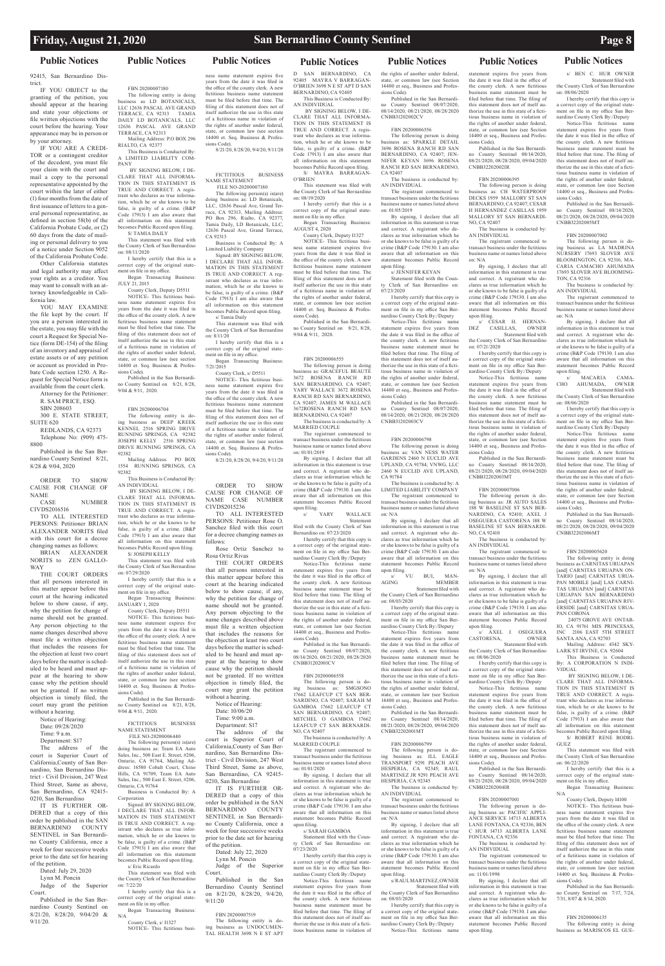92415, San Bernardino District.

IF YOU OBJECT to the granting of the petition, you should appear at the hearing and state your objections or file written objections with the court before the hearing. Your appearance may be in person or by your attorney.

IF YOU ARE A CREDI-TOR or a contingent creditor of the decedent, you must file your claim with the court and mail a copy to the personal representative appointed by the court within the later of either (1) four months from the date of first issuance of letters to a general personal representative, as defined in section 58(b) of the California Probate Code, or (2) 60 days from the date of mailing or personal delivery to you of a notice under Section 9052 of the California Probate Code.

Other California statutes and legal authority may affect your rights as a creditor. You may want to consult with an attorney knowledgeable in California law.

YOU MAY EXAMINE the file kept by the court. If you are a person interested in the estate, you may file with the court a Request for Special Notice (form DE-154) of the filing of an inventory and appraisal of estate assets or of any petition or account as provided in Probate Code section 1250. A Request for Special Notice form is

available from the court clerk. Attorney for the Petitioner: R. SAM PRICE, ESQ.

SBN 208603

300 E. STATE STREET, SUITE 620

REDLANDS, CA 92373 Telephone No: (909) 475-

8800 Published in the San Ber-

nardino County Sentinel 8/21, 8/28 & 9/04, 2020

ORDER TO SHOW CAUSE FOR CHANGE OF NAME

CASE NUMBER CIVDS2016516 TO ALL INTERESTED

PERSONS: Petitioner BRIAN ALEXANDER NORITS filed with this court for a decree changing names as follows:

BRIAN ALEXANDER NORITS to ZEN GALLO-WAY

This statement was filed with the County Clerk of San Bernardino on: 08/11/2020

THE COURT ORDERS that all persons interested in this matter appear before this court at the hearing indicated below to show cause, if any, why the petition for change of name should not be granted. Any person objecting to the name changes described above must file a written objection that includes the reasons for the objection at least two court days before the matter is scheduled to be heard and must appear at the hearing to show cause why the petition should not be granted. If no written objection is timely filed, the court may grant the petition without a hearing.

Notice of Hearing: Date: 00/28/2020 Time: 9 a.m. Department: S17

The address of the

BY SIGNING BELOW, I DE-CLARE THAT ALL INFORMA-TION IN THIS STATEMENT IS TRUE AND CORRECT. A registrant who declares as true information, which he or she knows to be false, is guilty of a crime. (B&P Code 17913) I am also aware that all information on this statement becomes Public Record upon filing.

court is Superior Court of California,County of San Bernardino, San Bernardino District - Civil Division, 247 West Third Street, Same as above, San Bernardino, CA 92415- 0210, San Bernardino

IT IS FURTHER OR-DERED that a copy of this order be published in the SAN BERNARDINO COUNTY SENTINEL in San Bernardino County California, once a week for four successive weeks prior to the date set for hearing of the petition.

Dated: July 29, 2020

Lynn M. Poncin

Judge of the Superior Court.

 FILE NO-20200006440 The following person(s) is(are)  $\sigma$  business as: Team EA Auto doing business as: Team EA Auto<br>Sales, Inc., 500 East E. Street, #206 les, Inc., 500 East E. Street, #206, #206, #206, #206, #206, #206, #206, #206, #206, #206, #206, #206, #206, #20

Published in the San Bernardino County Sentinel on 8/21/20, 8/28/20, 9/04/20 & 9/11/20.

## **Public Notices Public Notices Public Notices Public Notices Public Notices Public Notices Public Notices**

FBN 20200007180 The following entity is doing business as LD BOTANICALS, LLC 12636 PASCAL AVE GRAND TERRACE, CA 92313 TAMIA DAILY LD BOTANICALS, LLC 12636 PASCAL AVE GRAND TERRACE, CA 92313 Mailing Address: P.O BOX 296

Signed: BY SIGNING BELOW I DECLARE THAT ALL INFOR-MATION IN THIS STATEMENT IS TRUE AND CORRECT. A registrant who declares as true information, which he or she knows to be false, is guilty of a crime. (B&P Code 17913) I am also aware that all information on this statement becomes Public Record upon filing. s/ Eric Ricardo

RIALTO, CA 92377 This Business is Conducted By: A LIMITED LIABILITY COM-PANY

 BY SIGNING BELOW, I DE-CLARE THAT ALL INFORMA-TION IN THIS STATEMENT IS TRUE AND CORRECT. A registrant who declares as true information, which he or she knows to be false, is guilty of a crime. (B&P Code 17913) I am also aware that all information on this statement becomes Public Record upon filing. S/ TAMIA DAILY

I hereby certify that this is a correct copy of the original statement on file in my office. Began Transacting Business: JULY 21, 2015

County Clerk, Deputy D5511 NOTICE- This fictitious busi-

ness name statement expires five years from the date it was filed in the office of the county clerk. A new fictitious business name statement must be filed before that time. The filing of this statement does not of itself authorize the use in this state of a fictitious name in violation of the rights of another under federal, state, or common law (see section 14400 et. Seq. Business & Professions Code).

Published in the San Bernardino County Sentinel on 8/21, 8/28, 9/04 & 9/11, 2020.

### FBN 20200006704

The following entity is doing business as DEEP KREEK KENNEL 2516 SPRING DRIVE RUNNING SPRINGS, CA 92382 JOSEPH KELLY 2516 SPRING DRIVE RUNNING SPRINGS, CA 92382

Mailing Address: PO BOX 1554 RUNNING SPRINGS, CA 92382

#### This Business is Conducted By: AN INDIVIDUAL

S/ JOSEPH KELLY This statement was filed with the County Clerk of San Bernardino AN INDIVIDUAL BY SIGNING BELOW, I DE-

on: 07/29/2020 I hereby certify that this is a correct copy of the original statement on file in my office. Began Transacting Business:

JANUARY 1, 2020

County Clerk, Deputy D5511 NOTICE- This fictitious business name statement expires five years from the date it was filed in the office of the county clerk. A new fictitious business name statement must be filed before that time. The filing of this statement does not of itself authorize the use in this state of a fictitious name in violation of the rights of another under federal, state, or common law (see section 14400 et. Seq. Business & Profes-

NOTICE- This fictitious business name statement expires five years from the date it was filed in the office of the county clerk. A new fictitious business name statement must be filed before that time. The filing of this statement does not of itself authorize the use in this state of a fictitious name in violation of the rights of another under federal, state, or common law (see section 14400 et. Seq. Business & Professions Code).

The following person is doing business as: GRACEFUL BEAUTE<br>3672 ROSENA RANCH RD ROSENA RANCH RD SAN BERNARDINO, CA 92407; YARY WALLACE 3672 ROSENA RANCH RD SAN BERNARDINO, CA 92407; JAMES M WALLACE 3672ROSENA RANCH RD SAN BERNARDINO, CA 92407 The business is conducted by: A

sions Code). Published in the San Bernardino County Sentinel on 8/21, 8/28, 9/04 & 9/11, 2020.

The registrant commenced to transact business under the fictitious business name or names listed above on:  $01/01/2019$ 

#### FICTITIOUS BUSINESS NAME STATEMENT

Ontario, CA 91764, Mailing Ad-dress: 16580 Cobalt Court, Chino Hills, CA 91709, Team EA Auto Sales, Inc., 500 East E. Street, #206, Ontario, CA 91764

Business is Conducted By: A Corporation

This statement was filed with the County Clerk of San Bernardino on: 7/22/20 I hereby certify that this is a

transact business under the fictiti business name or names listed above on: 01/01/2020

correct copy of the original statement on file in my office.

Began Transacting Business:

N/A County Clerk, s/ I1327 NOTICE- This fictitious busi-

Statement filed with the County Clerk of San Bernardino on:  $07/23/2020$ 

ness name statement expires five years from the date it was filed in the office of the county clerk. A new fictitious business name statement must be filed before that time. The filing of this statement does not of itself authorize the use in this state of a fictitious name in violation of the rights of another under federal, state, or common law (see section

14400 et. Seq. Business & Professions Code). 8/21/20, 8/28/20, 9/4/20, 9/11/20

FICTITIOUS BUSINESS NAME STATEMENT

 FILE NO-20200007180 The following person(s) is(are) doing business as: LD Botanicals, LLC, 12636 Pascal Ave, Grand Terrace, CA 92313, Mailing Address: PO Box 296, Rialto, CA 92377, Tamia Daily, LD Botanicals, LLC,

12636 Pascal Ave, Grand Terrace, CA 92313 Business is Conducted By: A

Limited Liability Company Signed: BY SIGNING BELOW. I DECLARE THAT ALL INFOR-MATION IN THIS STATEMENT IS TRUE AND CORRECT. A registrant who declares as true information, which he or she knows to be false, is guilty of a crime. (B&P Code 17913) I am also aware that all information on this statement

> Notice-This fictitious statement expires five years from the date it was filed in the office of the county clerk. A new fictitious business name statement must be filed before that time. The filing of this statement does not of itself authorize the use in this state of a fictitious business name in violation of the rights of another under federal, state, or common law (see Section 14400 et seq., Business and Professions Code).

becomes Public Record upon filing. s/ Tamia Daily This statement was filed with the County Clerk of San Bernardino on: 8/11/20 I hereby certify that this is a correct copy of the original state-ment on file in my office.

Began Transacting Business: 7/21/2015

County Clerk, s/ D5511 NOTICE- This fictitious business name statement expires five years from the date it was filed in the office of the county clerk. A new fictitious business name statement must be filed before that time. The filing of this statement does not of itself authorize the use in this state of a fictitious name in violation of the rights of another under federal, state, or common law (see section 14400 et. Seq. Business & Profes-

sions Code). 8/21/20, 8/28/20, 9/4/20, 9/11/20

ORDER TO SHOW CAUSE FOR CHANGE OF NAME CASE NUMBER CIVDS2015236 TO ALL INTERESTED PERSONS: Petitioner Rose O.

> information in this statement is true and correct. A registrant who declares as true information which he or she knows to be false is guilty of a crime (B&P Code 179130. I am also aware that all information on this statement becomes Public Record upon filing. s/RAULMARTINEZ, OWNER

Sanchez filed with this court for a decree changing names as follows: Rose Ortiz Sanchez to

Rosa Ortiz Rivas THE COURT ORDERS

that all persons interested in this matter appear before this court at the hearing indicated below to show cause, if any, why the petition for change of name should not be granted. Any person objecting to the name changes described above must file a written objection that includes the reasons for the objection at least two court days before the matter is scheduled to be heard and must ap-

pear at the hearing to show cause why the petition should not be granted. If no written objection is timely filed, the court may grant the petition

without a hearing. Notice of Hearing: Date: 10/06/20 Time: 9:00 a.m.

Department: S17 The address of the court is Superior Court of

California,County of San Bernardino, San Bernardino District - Civil Division, 247 West Third Street, Same as above, San Bernardino, CA 92415- 0210, San Bernardino

IT IS FURTHER OR-DERED that a copy of this order be published in the SAN BERNARDINO COUNTY SENTINEL in San Bernardino County California, once a week for four successive weeks prior to the date set for hearing of the petition.

Dated: July 22, 2020

Lynn M. Poncin Judge of the Superior Court.

Published in the San Bernardino County Sentinel on 8/21/20, 8/28/20, 9/4/20, 9/11/20

FBN 20200007519 The following entity is do-ing business as UNDOCUMEN-TAL HEALTH 3698 N E ST APT D SAN BERNARDINO, CA 92405 MAYRA V BARRAGAN-O'BRIEN 3698 N E ST APT D SAN BERNARDINO, CA 92405 This Business is Conducted By:

> I hereby certify that this copy is a correct copy of the original statement on file in my office San Bernardino County Clerk By:/Deputy Notice-This fictitious name statement expires five years from the date it was filed in the office of the county clerk. A new fictitious business name statement must be filed before that time. The filing of this statement does not of itself authorize the use in this state of a fictitious business name in violation of the rights of another under federal.

CLARE THAT ALL INFORMA-TION IN THIS STATEMENT IS TRUE AND CORRECT. A registrant who declares as true information, which he or she knows to be false, is guilty of a crime. (B&P Code 17913) I am also aware that all information on this statement becomes Public Record upon filing. S/ MAYRA BARRAGAN-O'BRIEN

This statement was filed with the County Clerk of San Bernardino on: 08/19/2020

> County Sentinel 08/14/2020, 08/21/2020, 08/28/2020, 09/04/2020

I hereby certify that this is a correct copy of the original statement on file in my office.

Began Transacting Business: AUGUST 4, 2020 County Clerk, Deputy I1327

Published in the San Bernardino County Sentinel on 8/21, 8/28, 9/04 & 9/11, 2020.

### FBN 20200006555

MARRIED COUPLE

By signing, I declare that all information in this statement is true and correct. A registrant who declares as true information which he or she knows to be false is guilty of a crime (B&P Code 179130. I am also aware that all information on this statement becomes Public Record

upon filing. s/ YARY WALLACE Statement filed with the County Clerk of San Bernardino on: 07/23/2020

I hereby certify that this copy is a correct copy of the original statement on file in my office San Bernardino County Clerk By:/Deputy

Notice-This fictitious name statement expires five years from the date it was filed in the office of the county clerk. A new fictitious business name statement must be filed before that time. The filing of this statement does not of itself authorize the use in this state of a fictitious business name in violation of the rights of another under federal,<br>state or common law (see Section or common law (see Section 14400 et seq., Business and Professions Code).

> Began Transacting Busines N/A

Published in the San Bernardino County Sentinel 08/07/2020, 08/14/2020, 08/21/2020, 08/28/2020 CNBB31202001CV

#### FBN 20200006558

The following person is doing business as: SMGSONO 17662 LEAFCUP CT SAN BER-NARDINO, CA 92407; SARAH M GAMBOA 17662 LEAFCUP CT SAN BERNARDINO, CA 92407; MITCHEL O GAMBOA 17662 LEAFCUP CT SAN BERNARDI-NO, CA 92407

The business is conducted by: A MARRIED COUPLE The registrant commenced to

By signing, I declare that all information in this statement is true and correct. A registrant who declares as true information which he or she knows to be false is guilty of a crime (B&P Code 179130. I am also aware that all information on this statement becomes Public Record upon filing.

s/ SARAH GAMBOA

I hereby certify that this copy is a correct copy of the original state-ment on file in my office San Bernardino County Clerk By:/Deputy

Notice-This fictitious name statement expires five years from the date it was filed in the office of the county clerk. A new fictitious<br>business name statement must be hame statement must be filed before that time. The filing of this statement does not of itself authorize the use in this state of a fictitious business name in violation of

the rights of another under federal, state, or common law (see Section 14400 et seq., Business and Professions Code).

Published in the San Bernardino County Sentinel 08/07/2020, 08/14/2020, 08/21/2020, 08/28/2020 CNBB31202002CV

#### FBN 20200006556

The following person is doing business as: SPARKLE DETAIL 3696 ROSENA RANCH RD SAN BERNARDINO, CA 92407; JEN-NIFER KEYAN 3696 ROSENA RANCH RD SAN BERNARDINO, CA 92407

The business is conducted by: AN INDIVIDUAL

The registrant commenced to transact business under the fictitious business name or names listed above on: 01/05/2019

By signing, I declare that all information in this statement is true and correct. A registrant who declares as true information which he or she knows to be false is guilty of a crime (B&P Code 179130. I am also aware that all information on this statement becomes Public Record upon filing.

#### s/ JENNIFER KEYAN

Statement filed with the Coun-Clerk of San Bernardino on: 07/23/2020

I hereby certify that this copy is a correct copy of the original state-ment on file in my office San Bernardino County Clerk By:/Deputy

Published in the San Bernardino County Sentinel 08/07/2020, 08/14/2020, 08/21/2020, 08/28/2020 CNBB31202003CV

#### FBN 20200006798

The business is conducted by: A LIMITED LIABILITY COMPANY The registrant commenced to

transact business under the fictitious business name or names listed above on: N/A

By signing, I declare that all information in this statement is true and correct. A registrant who declares as true information which he or she knows to be false is guilty of a crime (B&P Code 179130. I am also aware that all information on this statement becomes Public Record upon filing. s/ VU BUI, MAN-AGING MEMBER

Statement filed with

the County Clerk of San Bernardino

on: 08/03/2020

I hereby certify that this copy is a correct copy of the original statement on file in my office San Bernardino County Clerk By:/Deputy Notice-This fictitious name statement expires five years from the date it was filed in the office of the county clerk. A new fictitious business name statement must be filed before that time. The filing of this statement does not of itself authorize the use in this state of a fictitious business name in violation of the rights of another under federal, state, or common law (see Section 14400 et seq., Business and Profes-

sions Code).

Published in the San Bernardino County Sentinel 08/14/2020, 08/21/2020, 08/28/2020, 09/04/2020

CNBB32202001MT FBN 20200006799

The following person is do-ing business as: ILL EAGLE TRANSPORT 9291 PEACH AVE HESPERIA, CA 92345; RAUL MARTINEZ JR 9291 PEACH AVE HESPERIA, CA 92345

The business is conducted by: AN INDIVIDUAL

The registrant commenced to transact business under the fictitious business name or names listed above on: N/A

 Statement filed with the County Clerk of San Bernardino on: 08/03/2020

The following person is doing business as: VAN NESS WATER GARDENS 2460 N EUCLID AVE UPLAND, CA 91784; VNWG, LLC 2460 N EUCLID AVE UPLAND, CA 91784 14400 et seq., Business and Professions Code). CNBB32202003MT

I hereby certify that this copy is a correct copy of the original statement on file in my office San Bernardino County Clerk By:/Deputy Notice-This fictitious name

statement expires five years from the date it was filed in the office of the county clerk. A new fictitious business name statement must be filed before that time. The filing of this statement does not of itself authorize the use in this state of a fictitious business name in violation of the rights of another under federal, state, or common law (see Section 14400 et seq., Business and Profes-

sions Code).

Published in the San Bernardino County Sentinel 08/14/2020, 08/21/2020, 08/28/2020, 09/04/2020

CNBB32202002IR FBN 20200006395 The following person is doing business as: CH WATERPROOF DECKS 1959 MALLORY ST SAN BERNARDINO, CA 92407; CESAR H HERNANDEZ CASILLAS 1959 MALLORY ST SAN BERNARDI-

NO, CA 92407

The business is conducted by:

AN INDIVIDUAL

The registrant commenced to transact business under the fictitious business name or names listed above

on: N/A

By signing, I declare that all information in this statement is true and correct. A registrant who declares as true information which he or she knows to be false is guilty of a crime (B&P Code 179130. I am also aware that all information on this statement becomes Public Record

upon filing.

s/ CESAR H. HERNAN-DEZ CASILLAS, OWNER Statement filed with the County Clerk of San Bernardino

I hereby certify that this copy is a correct copy of the original state-ment on file in my office San Bernardino County Clerk By:/Deputy Notice-This fictitious name statement expires five years from the date it was filed in the office of the county clerk. A new fictitious business name statement must be filed before that time. The filing of this statement does not of itself authorize the use in this state of a fictitious business name in violation of the rights of another under federal,<br>state or common law (see Section or common law (see Section

on: 07/21/2020

By signing, I declare that all LANE FONTANA, CA 92336; BEN C HUR 14713 ALBERTA LANE FONTANA, CA 92336

Published in the San Bernardino County Sentinel 08/14/2020, 08/21/2020, 08/28/2020, 09/04/2020

The business is conducted by:

FBN 20200007006 The following person is doing business as: JR AUTO SALES 188 W BASELINE ST SAN BER-NARDINO, CA 92410; AXEL J OSEGUERA CASTORENA 188 W BASELINE ST SAN BERNARDI-

NO, CA 92410

AN INDIVIDUAL

The registrant commenced to transact business under the fictitious business name or names listed above

on: N/A

By signing, I declare that all information in this statement is true and correct. A registrant who declares as true information which he or she knows to be false is guilty of a crime (B&P Code 179130. I am also aware that all information on this statement becomes Public Record upon filing.<br>s/ AXEL J. OSEGUERA s/ AXEL J. OSEGUERA CASTORENA, OWNER Statement filed with the County Clerk of San Bernardino

on: 08/06/2020

state, or common law (see Section 14400 et seq., Business and Professions Code). Published in the San Bernardi-

CNBB32202004IR

FBN 20200007001 The following person is do-ing business as: PACIFIC APPLI-ANCE SERVICE 14713 ALBERTA

The business is conducted by:

AN INDIVIDUAL

The registrant commenced to transact business under the fictitious business name or names listed above

on: 11/01/1998

By signing, I declare that all information in this statement is true and correct. A registrant who declares as true information which he or she knows to be false is guilty of a or she knows to be raise is guitty or a<br>crime (B&P Code 179130. I am also aware that all information on this statement becomes Public Record

upon filing.

s/ BEN C. HUR OWNER Statement filed with

the County Clerk of San Bernardino

on: 08/06/2020

I hereby certify that this copy is a correct copy of the original statement on file in my office San Bernardino County Clerk By:/Deputy Notice-This fictitious name statement expires five years from the date it was filed in the office of the county clerk. A new fictitious business name statement must be filed before that time. The filing of this statement does not of itself thorize the use in this state of a fictitious business name in violation of the rights of another under federal, state, or common law (see Section 14400 et seq., Business and Profes-

sions Code).

Published in the San Bernardino County Sentinel 08/14/2020, 08/21/2020, 08/28/2020, 09/04/2020

CNBB32202005MT FBN 20200007002 The following person is dobusiness as: LA MADRINA NURSERY 17693 SLOVER AVE BLOOMINGTON, CA 92316; MA-CARIA CAMACHO AHUMADA 17693 SLOVER AVE BLOOMING-

TON, CA 92316

The business is conducted by:

AN INDIVIDUAL

The registrant commenced to transact business under the fictitious business name or names listed above

on: N/A

By signing, I declare that all information in this statement is true and correct. A registrant who declares as true information which he or she knows to be false is guilty of a crime (B&P Code 179130. I am also aware that all information on this statement becomes Public Record upon filing.<br>s/ MACARIA s/ MACARIA CAMA-CHO AHUMADA, OWNER

Statement filed with

the County Clerk of San Bernardino

on: 08/06/2020

I hereby certify that this copy is correct copy of the original statement on file in my office San Bernardino County Clerk By:/Deputy Notice-This fictitious name statement expires five years from the date it was filed in the office of the county clerk. A new fictitious business name statement must be filed before that time. The filing of this statement does not of itself authorize the use in this state of a fictitious business name in violation of the rights of another under federal, state, or common law (see Section 14400 et seq., Business and Profes-

sions Code).

Published in the San Bernardi-County Sentinel 08/14/2020, 08/21/2020, 08/28/2020, 09/04/2020

CNBB32202006MT

FBN 20200005620 The following entity is doing business as CARNITAS URUAPAN [and] CARNITAS URUAPAN ON-TARIO [and] CARNITAS URUA-PAN MOBILE [and] LAS CARNI-TAS URUAPAN [and] CARNITAS URUAPAN SAN BERNARDINO [and] CARNITAS URUAPAN RIV-ERSIDE [and] CARNITAS URUA-PAN CORONA 24075 GROVE AVE ONTAR-IO, CA 91761 MIS PRINCESAS INC 2106 EAST 5TH STREET SANTA ANA, CA 92703 Mailing Address: 4342 SKY-LARK ST IRVINE, CA 92604 This Business is Conducted By: A CORPORATION N INDI-VIDUAL BY SIGNING BELOW, I DE-CLARE THAT ALL INFORMA-TION IN THIS STATEMENT IS TRUE AND CORRECT. A registrant who declares as true information, which he or she knows to be false, is guilty of a crime. (B&P Code 17913) I am also aware that all information on this statement becomes Public Record upon filing. S/ ROBERT RENE RODRI-

GUEZ

This statement was filed with the County Clerk of San Bernardino

on: 06/22/2020 I hereby certify that this is a correct copy of the original statement on file in my office.

County Clerk, Deputy l4100

NOTICE- This fictitious business name statement expires five years from the date it was filed in the office of the county clerk. A new fictitious business name statement must be filed before that time. The filing of this statement does not of itself authorize the use in this state of a fictitious name in violation of the rights of another under federal, state, or common law (see section 14400 et. Seq. Business & Professions Code).

Published in the San Bernardi-County Sentinel on 7/17, 7/24, 7/31, 8/07 & 8/14, 2020.

#### FBN 20200006135

The following entity is doing business as MARISCOS EL GUE-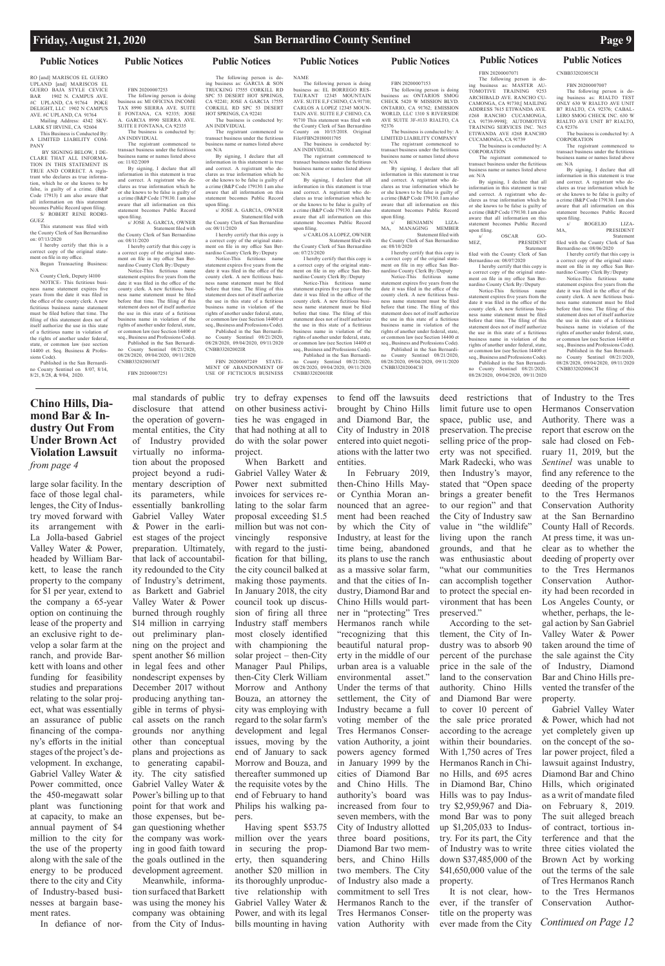*Continued on Page 12*

### **Public Notices Public Notices**

### **Friday, August 21, 2020 San Bernardino County Sentinel Page 9**

### **Public Notices Public Notices Public Notices Public Notices Public Notices**

RO [and] MARISCOS EL GUERO UPLAND [and] MARISCOS EL GUERO BAJA STYLE CEVICE BAR 1902 N. CAMPUS AVE. #C UPLAND, CA 91764 POKE DELIGHT, LLC 1902 N CAMPUS AVE. #C UPLAND, CA 91764

Mailing Address: 4342 SKY-LARK ST IRVINE, CA 92604 This Business is Conducted By: A LIMITED LIABILITY COM-

PANY BY SIGNING BELOW, I DE-CLARE THAT ALL INFORMA-TION IN THIS STATEMENT IS TRUE AND CORRECT. A regis-trant who declares as true information, which he or she knows to be false, is guilty of a crime. (B&P Code 17913) I am also aware that all information on this statement becomes Public Record upon filing. S/ ROBERT RENE RODRI-GUEZ

FBN 20200007253 The following person is doing business as: MI OFICINA INCOME TAX 8990 SIERRA AVE. SUITE E FONTANA, CA 92335; JOSE A. GARCIA 8990 SIERRA AVE. SUITE E FONTANA, CA 92335 The business is conducted by

This statement was filed with the County Clerk of San Bernardino on: 07/13/2020

I hereby certify that this is a correct copy of the original statement on file in my office. Began Transacting Business:

N/A County Clerk, Deputy l4100

NOTICE- This fictitious business name statement expires five years from the date it was filed in the office of the county clerk. A new fictitious business name statement must be filed before that time. The filing of this statement does not of itself authorize the use in this state of a fictitious name in violation of the rights of another under federal, state, or common law (see section 14400 et. Seq. Business & Professions Code).

Published in the San Bernardino County Sentinel on 8/07, 8/14, 8/21, 8/28, & 9/04, 2020.

AN INDIVIDUAL

The registrant commenced to

on: 11/02/2009

transact business under the fictitious business name or names listed above By signing, I declare that all information in this statement is true and correct. A registrant who de-clares as true information which he or she knows to be false is guilty of a crime (B&P Code 179130. I am also

aware that all information on this statement becomes Public Record

statement the County Clerk of San Bernardino

upon filing.

s/ JOSE A. GARCIA, OWNER Statement filed with

The following person is doing business as: EL BORREGO RES-TAURANT 12345 MOUNTAIN AVE. SUITE E,F CHINO, CA 91710; CARLOS A LOPEZ 12345 MOUN-TAIN AVE. SUITE E,F CHINO, CA 91710 This statement was filed with the County Clerk of San Bernardino County on 10/15/2018. Original

File#FBN20180011705 The business is conducted by: AN INDIVIDUAL

CNBB33202001MT FBN 20200007251

The following person is do-

on: 08/11/2020 I hereby certify that this copy is a correct copy of the original state-ment on file in my office San Bernardino County Clerk By:/Deputy Notice-This fictitious name statement expires five years from the date it was filed in the office of the county clerk. A new fictitious business name statement must be filed a correct copy of the original state-ment on file in my office San Ber-

ing business as: GARCIA & SON TRUCKING 17555 CORKILL RD SPC 53 DESERT HOT SPRINGS, CA 92241; JOSE A GARCIA 17555 CORKILL RD SPC 53 DESERT HOT SPRINGS, CA 92241 The business is conducted by: AN INDIVIDUAL

> By signing, I declare that all information in this statement is true and correct. A registrant who de-clares as true information which he or she knows to be false is guilty of a crime (B&P Code 179130. I am also aware that all information on this statement becomes Public Record upon filing.<br> $s/$  BENJAMIN

The registrant commenced to transact business under the fictitious business name or names listed above

before that time. The filing of this statement does not of itself authorize the use in this state of a fictitious business name in violation of the rights of another under federal, state, or common law (see Section 14400 et seq., Business and Professions Code). Published in the San Bernardithe use in this state of a fictitious business name in violation of the

on: N/A By signing, I declare that all information in this statement is true and correct. A registrant who declares as true information which he or she knows to be false is guilty of a crime (B&P Code 179130. I am also aware that all information on this statement becomes Public Record

upon filing.

no County Sentinel 08/21/2020, 08/28/2020, 09/04/2020, 09/11/2020 CNBB33202002IR

s/ JOSE A. GARCIA, OWNER Statement filed with the County Clerk of San Bernardino

on: 08/11/2020

I hereby certify that this copy is

nardino County Clerk By:/Deputy Notice-This fictitious name statement expires five years from the date it was filed in the office of the county clerk. A new fictitious business name statement must be filed before that time. The filing of this statement does not of itself authorize

upon filing.  $s/$  OSCAR<br>MEZ,

rights of another under federal, state, or common law (see Section 14400 et seq., Business and Professions Code).

Published in the San Bernardi-no County Sentinel 08/21/2020, 08/28/2020, 09/04/2020, 09/11/2020 FBN 20200007249 STATE-MENT OF ABANDONMENT OF USE OF FICTICIOUS BUSINESS

NAME

s/ ROGELIO LIZA-<br>MA. PRESIDENT PRESIDENT<br>Statement Statement filed with the County Clerk of San

The registrant commenced to transact business under the fictitious business name or names listed above on: N/A

By signing, I declare that all information in this statement is true and correct. A registrant who de-clares as true information which he or she knows to be false is guilty of a crime (B&P Code 179130. I am also aware that all information on this statement becomes Public Record upon filing. s/ CARLOS A LOPEZ, OWNER

 Statement filed with the County Clerk of San Bernardino on: 07/23/2020

I hereby certify that this copy is a correct copy of the original statement on file in my office San Ber-nardino County Clerk By:/Deputy

Notice-This fictitious name statement expires five years from the date it was filed in the office of the county clerk. A new fictitious business name statement must be filed before that time. The filing of this statement does not of itself authorize the use in this state of a fictitious business name in violation of the rights of another under federal, state, or common law (see Section 14400 et seq., Business and Professions Code).

Published in the San Bernardino County Sentinel 08/21/2020, 08/28/2020, 09/04/2020, 09/11/2020 CNBB33202003IR

FBN 20200007153

The following person is doing business as: ONTARIOS SMOG CHECK 5420 W MISSION BLVD. ONTARIO, CA 91762; EMISSION WORLD, LLC 1310 S RIVERSIDE AVE SUITE 3F-#133 RIALTO, CA 92376 The business is conducted by: A

LIMITED LIABILITY COMPANY

The registrant commenced to transact business under the fictitious business name or names listed above on: N/A

s/ BENJAMIN LIZA-MA, MANAGING MEMBER Statement filed with the County Clerk of San Bernardino on: 08/10/2020

I hereby certify that this copy is a correct copy of the original state-ment on file in my office San Ber-

nardino County Clerk By:/Deputy Notice-This fictitious name statement expires five years from the date it was filed in the office of the county clerk. A new fictitious business name statement must be filed before that time. The filing of this statement does not of itself authorize the use in this state of a fictitious business name in violation of the rights of another under federal, state, or common law (see Section 14400 et seq., Business and Professions Code).

Published in the San Bernardino County Sentinel 08/21/2020, 08/28/2020, 09/04/2020, 09/11/2020 CNBB33202004CH

FBN 20200007071

The following person is do-ing business as: MASTER AU-TOMOTIVE TRAINING 9253 ARCHIBALD AVE. RANCHO CU-CAMONGA, CA 91730;[ MAILING ADDRESS 7615 ETIWANDA AVE. #268 RANCHO CUCAMONGA, CA 91739-9998]; AUTOMOTIVE TRAINING SERVICES INC. 7615 ETIWANDA AVE #268 RANCHO CUCAMONGA, CA 91739 The business is conducted by: A CORPORATION The registrant commenced to transact business under the fictitious business name or names listed above

on: N/A

By signing, I declare that all information in this statement is true and correct. A registrant who declares as true information which he or she knows to be false is guilty of a crime (B&P Code 179130. I am also aware that all information on this statement becomes Public Record

 Statement filed with the County Clerk of San Bernardino on: 08/07/2020

I hereby certify that this copy is a correct copy of the original statement on file in my office San Ber-nardino County Clerk By:/Deputy Notice-This fictitious name statement expires five years from the date it was filed in the office of the county clerk. A new fictitious busi-ness name statement must be filed before that time. The filing of this statement does not of itself authorize the use in this state of a fictitious business name in violation of the rights of another under federal, state, or common law (see Section 14400 et seq., Business and Professions Code). Published in the San Bernardino County Sentinel 08/21/2020, 08/28/2020, 09/04/2020, 09/11/2020

PRESIDENT

CNBB33202005CH

FBN 20200007007 The following person is do-ing business as: RIALTO TEST ONLY 630 W RIALTO AVE UNIT B7 RIALTO, CA 92376; CABAL-LERO SMOG CHECK INC. RIALTO AVE UNIT B7 RIALTO, CA 92376

The business is conducted by: A CORPORATION

The registrant commenced to transact business under the fictitious business name or names listed above on: N/A

By signing, I declare that all information in this statement is true and correct. A registrant who declares as true information which he or she knows to be false is guilty of a crime (B&P Code 179130. I am also aware that all information on this statement becomes Public Record upon filing.

Bernardino on: 08/06/2020 I hereby certify that this copy is

a correct copy of the original state-ment on file in my office San Bernardino County Clerk By:/Deputy

Notice-This fictitious name statement expires five years from the date it was filed in the office of the county clerk. A new fictitious business name statement must be filed before that time. The filing of this statement does not of itself authorize the use in this state of a fictitious business name in violation of the rights of another under federal, state, or common law (see Section 14400 et seq., Business and Professions Code).

Published in the San Bernardino County Sentinel 08/21/2020, 08/28/2020, 09/04/2020, 09/11/2020 CNBB33202006CH

large solar facility. In the face of those legal challenges, the City of Industry moved forward with its arrangement with La Jolla-based Gabriel Valley Water & Power, headed by William Barkett, to lease the ranch property to the company for \$1 per year, extend to the company a 65-year option on continuing the lease of the property and an exclusive right to develop a solar farm at the ranch, and provide Barkett with loans and other funding for feasibility studies and preparations relating to the solar project, what was essentially an assurance of public financing of the company's efforts in the initial stages of the project's development. In exchange, Gabriel Valley Water & Power committed, once the 450-megawatt solar plant was functioning at capacity, to make an annual payment of \$4 million to the city for the use of the property along with the sale of the energy to be produced there to the city and City of Industry-based businesses at bargain basement rates.

In defiance of nor-

mal standards of public disclosure that attend the operation of governmental entities, the City of Industry provided virtually no information about the proposed project beyond a rudimentary description of its parameters, while essentially bankrolling Gabriel Valley Water & Power in the earliest stages of the project preparation. Ultimately, that lack of accountability redounded to the City of Industry's detriment, as Barkett and Gabriel Valley Water & Power burned through roughly \$14 million in carrying out preliminary planning on the project and spent another \$6 million in legal fees and other nondescript expenses by December 2017 without producing anything tangible in terms of physical assets on the ranch grounds nor anything other than conceptual plans and projections as to generating capability. The city satisfied Gabriel Valley Water & Power's billing up to that point for that work and those expenses, but began questioning whether the company was working in good faith toward the goals outlined in the development agreement. Meanwhile, information surfaced that Barkett was using the money his company was obtaining from the City of Indus-

try to defray expenses on other business activities he was engaged in that had nothing at all to do with the solar power project.

When Barkett and Gabriel Valley Water & Power next submitted invoices for services relating to the solar farm proposal exceeding \$1.5 million but was not convincingly responsive with regard to the justification for that billing, the city council balked at making those payments. In January 2018, the city council took up discussion of firing all three Industry staff members most closely identified with championing the solar project  $-$  then-City Manager Paul Philips, then-City Clerk William Morrow and Anthony Bouza, an attorney the city was employing with regard to the solar farm's development and legal issues, moving by the end of January to sack Morrow and Bouza, and thereafter summoned up the requisite votes by the end of February to hand Philips his walking papers. Having spent \$53.75 million over the years in securing the prop-

 Authority. There was a Hermanos Conservation report that escrow on the sale had closed on February 11, 2019, but the *Sentinel* was unable to find any reference to the deeding of the property to the Tres Hermanos Conservation Authority at the San Bernardino County Hall of Records. At press time, it was unclear as to whether the deeding of property over to the Tres Hermanos Conservation Authority had been recorded in Los Angeles County, or whether, perhaps, the legal action by San Gabriel Valley Water & Power taken around the time of the sale against the City of Industry, Diamond Bar and Chino Hills prevented the transfer of the property.

to fend off the lawsuits brought by Chino Hills and Diamond Bar, the City of Industry in 2018 entered into quiet negotiations with the latter two entities.

In February 2019, then-Chino Hills Mayor Cynthia Moran announced that an agreement had been reached by which the City of Industry, at least for the time being, abandoned its plans to use the ranch as a massive solar farm, and that the cities of Industry, Diamond Bar and Chino Hills would partner in "protecting" Tres Hermanos ranch while "recognizing that this beautiful natural property in the middle of our urban area is a valuable environmental asset." Under the terms of that settlement, the City of Industry became a full voting member of the Tres Hermanos Conservation Authority, a joint

erty, then squandering another \$20 million in its thoroughly unproductive relationship with Gabriel Valley Water & Power, and with its legal bills mounting in having in January 1999 by the cities of Diamond Bar and Chino Hills. The authority's board was increased from four to seven members, with the City of Industry allotted three board positions, Diamond Bar two members, and Chino Hills two members. The City of Industry also made a commitment to sell Tres Hermanos Ranch to the Tres Hermanos Conservation Authority with

deed restrictions that preserved."

limit future use to open space, public use, and preservation. The precise selling price of the property was not specified. Mark Radecki, who was then Industry's mayor, stated that "Open space brings a greater benefit to our region" and that the City of Industry saw value in "the wildlife" living upon the ranch grounds, and that he was enthusiastic about "what our communities can accomplish together to protect the special environment that has been

powers agency formed According to the settlement, the City of Industry was to absorb 90 percent of the purchase price in the sale of the land to the conservation authority. Chino Hills and Diamond Bar were according to the acreage within their boundaries. With 1,750 acres of Tres Hermanos Ranch in Chino Hills, and 695 acres in Diamond Bar, Chino Hills was to pay Industry \$2,959,967 and Diamond Bar was to pony up \$1,205,033 to Industry. For its part, the City of Industry was to write down \$37,485,000 of the \$41,650,000 value of the property. It is not clear, howtitle on the property was

to cover 10 percent of the sale price prorated ever, if the transfer of

ever made from the City

of Industry to the Tres

Gabriel Valley Water & Power, which had not yet completely given up on the concept of the solar power project, filed a

lawsuit against Industry, Diamond Bar and Chino Hills, which originated as a writ of mandate filed on February 8, 2019. The suit alleged breach of contract, tortious interference and that the three cities violated the Brown Act by working out the terms of the sale of Tres Hermanos Ranch to the Tres Hermanos Conservation Author-

**Chino Hills, Diamond Bar & Industry Out From Under Brown Act Violation Lawsuit**  *from page 4*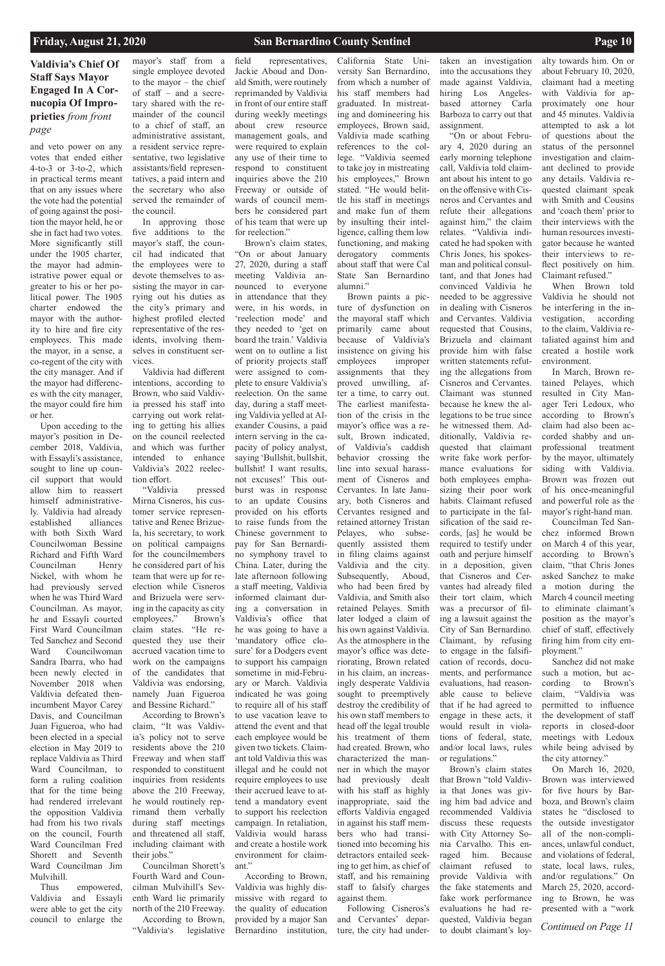and veto power on any votes that ended either 4-to-3 or 3-to-2, which in practical terms meant that on any issues where the vote had the potential of going against the position the mayor held, he or she in fact had two votes. More significantly still under the 1905 charter, the mayor had administrative power equal or greater to his or her political power. The 1905 charter endowed the mayor with the authority to hire and fire city employees. This made the mayor, in a sense, a co-regent of the city with the city manager. And if the mayor had differences with the city manager, the mayor could fire him or her.

Upon acceding to the mayor's position in December 2018, Valdivia, with Essayli's assistance, sought to line up council support that would allow him to reassert himself administratively. Valdivia had already established alliances with both Sixth Ward Councilwoman Bessine Richard and Fifth Ward Councilman Henry Nickel, with whom he had previously served when he was Third Ward Councilman. As mayor, he and Essayli courted First Ward Councilman Ted Sanchez and Second Ward Councilwoman Sandra Ibarra, who had been newly elected in November 2018 when Valdivia defeated thenincumbent Mayor Carey Davis, and Councilman Juan Figueroa, who had been elected in a special election in May 2019 to replace Valdivia as Third Ward Councilman, to form a ruling coalition that for the time being had rendered irrelevant the opposition Valdivia had from his two rivals on the council, Fourth Ward Councilman Fred Shorett and Seventh Ward Councilman Jim Mulvihill. Thus empowered, Valdivia and Essayli were able to get the city council to enlarge the

mayor's staff from a single employee devoted to the mayor – the chief of staff – and a secretary shared with the remainder of the council to a chief of staff, an administrative assistant, a resident service representative, two legislative assistants/field representatives, a paid intern and the secretary who also served the remainder of the council.

In approving those five additions to the mayor's staff, the council had indicated that the employees were to devote themselves to assisting the mayor in carrying out his duties as the city's primary and highest profiled elected representative of the residents, involving themselves in constituent services.

Valdivia had different intentions, according to Brown, who said Valdivia pressed his staff into carrying out work relating to getting his allies on the council reelected and which was further intended to enhance Valdivia's 2022 reelection effort.

"Valdivia pressed Mirna Cisneros, his customer service representative and Renee Brizuela, his secretary, to work on political campaigns for the councilmembers he considered part of his team that were up for reelection while Cisneros and Brizuela were serving in the capacity as city employees," Brown's claim states. "He requested they use their accrued vacation time to work on the campaigns of the candidates that Valdivia was endorsing, namely Juan Figueroa and Bessine Richard."

According to Brown's claim, "It was Valdivia's policy not to serve residents above the 210

Freeway and when staff responded to constituent inquiries from residents above the 210 Freeway, he would routinely reprimand them verbally during staff meetings and threatened all staff, including claimant with their jobs."

Councilman Shorett's Fourth Ward and Councilman Mulvihill's Seventh Ward lie primarily north of the 210 Freeway. According to Brown, "Valdivia's legislative

field representatives, Jackie Aboud and Donald Smith, were routinely reprimanded by Valdivia in front of our entire staff during weekly meetings about crew resource management goals, and were required to explain any use of their time to respond to constituent inquiries above the 210 Freeway or outside of wards of council members he considered part of his team that were up for reelection."

Brown's claim states, "On or about January 27, 2020, during a staff meeting Valdivia announced to everyone in attendance that they were, in his words, in 'reelection mode' and they needed to 'get on board the train.' Valdivia went on to outline a list of priority projects staff were assigned to complete to ensure Valdivia's reelection. On the same day, during a staff meeting Valdivia yelled at Alexander Cousins, a paid intern serving in the capacity of policy analyst, saying 'Bullshit, bullshit, bullshit! I want results, not excuses!' This outburst was in response to an update Cousins provided on his efforts to raise funds from the Chinese government to pay for San Bernardino symphony travel to China. Later, during the late afternoon following a staff meeting, Valdivia informed claimant during a conversation in Valdivia's office that he was going to have a 'mandatory office closure' for a Dodgers event to support his campaign sometime in mid-February or March. Valdivia indicated he was going to require all of his staff to use vacation leave to attend the event and that each employee would be given two tickets. Claimant told Valdivia this was illegal and he could not require employees to use their accrued leave to attend a mandatory event to support his reelection campaign. In retaliation, Valdivia would harass and create a hostile work environment for claimant." According to Brown, Valdivia was highly dismissive with regard to the quality of education provided by a major San Bernardino institution,

California State University San Bernardino, from which a number of his staff members had graduated. In mistreating and domineering his employees, Brown said, Valdivia made scathing references to the college. "Valdivia seemed to take joy in mistreating his employees," Brown stated. "He would belittle his staff in meetings and make fun of them by insulting their intelligence, calling them low functioning, and making derogatory comments about staff that were Cal State San Bernardino alumni."

Brown paints a picture of dysfunction on the mayoral staff which primarily came about because of Valdivia's insistence on giving his employees improper assignments that they proved unwilling, after a time, to carry out. The earliest manifestation of the crisis in the mayor's office was a result, Brown indicated, of Valdivia's caddish behavior crossing the line into sexual harassment of Cisneros and Cervantes. In late January, both Cisneros and Cervantes resigned and retained attorney Tristan Pelayes, who subsequently assisted them in filing claims against Valdivia and the city. Subsequently, Aboud, who had been fired by Valdivia, and Smith also retained Pelayes. Smith later lodged a claim of his own against Valdivia. As the atmosphere in the mayor's office was deteriorating, Brown related in his claim, an increasingly desperate Valdivia sought to preemptively destroy the credibility of his own staff members to head off the legal trouble his treatment of them had created. Brown, who characterized the manner in which the mayor had previously dealt with his staff as highly inappropriate, said the efforts Valdivia engaged

against them.

taken an investigation into the accusations they made against Valdivia, hiring Los Angelesbased attorney Carla Barboza to carry out that assignment.

in against his staff members who had transitioned into becoming his detractors entailed seeking to get him, as chief of staff, and his remaining staff to falsify charges Following Cisneros's and Cervantes' departure, the city had under-"On or about February 4, 2020 during an early morning telephone call, Valdivia told claimant about his intent to go on the offensive with Cisneros and Cervantes and refute their allegations against him," the claim relates. "Valdivia indicated he had spoken with Chris Jones, his spokesman and political consultant, and that Jones had convinced Valdivia he needed to be aggressive in dealing with Cisneros and Cervantes. Valdivia requested that Cousins, Brizuela and claimant provide him with false written statements refuting the allegations from Cisneros and Cervantes. Claimant was stunned because he knew the allegations to be true since he witnessed them. Additionally, Valdivia requested that claimant write fake work performance evaluations for both employees emphasizing their poor work habits. Claimant refused to participate in the falsification of the said records, [as] he would be required to testify under oath and perjure himself in a deposition, given that Cisneros and Cervantes had already filed their tort claim, which was a precursor of filing a lawsuit against the City of San Bernardino. Claimant, by refusing to engage in the falsification of records, documents, and performance evaluations, had reasonable cause to believe that if he had agreed to engage in these acts, it would result in violations of federal, state, and/or local laws, rules or regulations." Brown's claim states that Brown "told Valdivia that Jones was giving him bad advice and recommended Valdivia discuss these requests with City Attorney Sonia Carvalho. This enraged him. Because claimant refused to provide Valdivia with the fake statements and fake work performance evaluations he had requested, Valdivia began to doubt claimant's loy-

alty towards him. On or about February 10, 2020, claimant had a meeting with Valdivia for approximately one hour and 45 minutes. Valdivia attempted to ask a lot of questions about the status of the personnel investigation and claimant declined to provide any details. Valdivia requested claimant speak with Smith and Cousins and 'coach them' prior to their interviews with the human resources investigator because he wanted their interviews to reflect positively on him. Claimant refused."

When Brown told Valdivia he should not be interfering in the investigation, according to the claim, Valdivia retaliated against him and created a hostile work environment.

In March, Brown retained Pelayes, which resulted in City Manager Teri Ledoux, who according to Brown's claim had also been accorded shabby and unprofessional treatment by the mayor, ultimately siding with Valdivia. Brown was frozen out of his once-meaningful and powerful role as the mayor's right-hand man.

Councilman Ted Sanchez informed Brown on March 4 of this year, according to Brown's claim, "that Chris Jones asked Sanchez to make a motion during the March 4 council meeting to eliminate claimant's position as the mayor's chief of staff, effectively firing him from city employment."

Sanchez did not make such a motion, but according to Brown's claim, "Valdivia was permitted to influence the development of staff reports in closed-door meetings with Ledoux while being advised by

the city attorney."

On March 16, 2020, Brown was interviewed for five hours by Barboza, and Brown's claim states he "disclosed to the outside investigator all of the non-compliances, unlawful conduct, and violations of federal, state, local laws, rules, and/or regulations." On March 25, 2020, according to Brown, he was presented with a "work

## **Valdivia's Chief Of Staff Says Mayor Engaged In A Cornucopia Of Improprieties** *from front page*

*Continued on Page 11*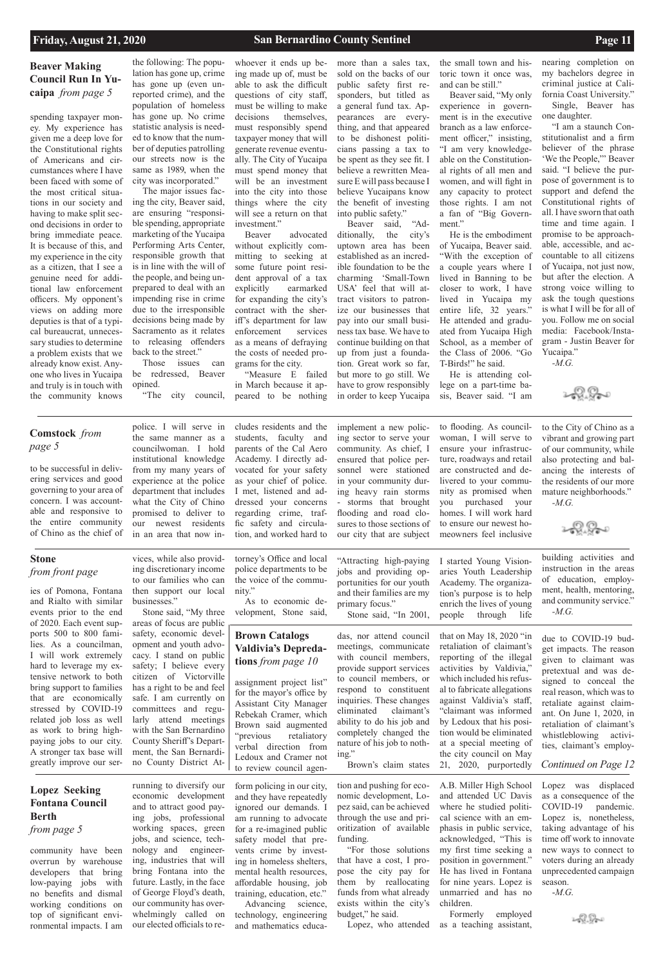### **Stone**

### *from front page*

ies of Pomona, Fontana and Rialto with similar events prior to the end of 2020. Each event supports 500 to 800 families. As a councilman, I will work extremely hard to leverage my extensive network to both bring support to families that are economically stressed by COVID-19 related job loss as well as work to bring highpaying jobs to our city. A stronger tax base will

vices, while also providing discretionary income to our families who can then support our local

businesses."

greatly improve our serno County District At-

Stone said, "My three areas of focus are public safety, economic development and youth advocacy. I stand on public safety; I believe every citizen of Victorville has a right to be and feel safe. I am currently on committees and regularly attend meetings with the San Bernardino County Sheriff's Department, the San Bernarditorney's Office and local police departments to be the voice of the commu-

nity."

As to economic development, Stone said, "Attracting high-paying jobs and providing opportunities for our youth and their families are my primary focus."

Stone said, "In 2001,

I started Young Visionaries Youth Leadership Academy. The organization's purpose is to help enrich the lives of young people through life

building activities and instruction in the areas of education, employment, health, mentoring, and community service." *-M.G.*

spending taxpayer money. My experience has given me a deep love for the Constitutional rights of Americans and circumstances where I have been faced with some of the most critical situations in our society and having to make split second decisions in order to bring immediate peace. It is because of this, and my experience in the city as a citizen, that I see a genuine need for additional law enforcement officers. My opponent's views on adding more deputies is that of a typical bureaucrat, unnecessary studies to determine a problem exists that we already know exist. Anyone who lives in Yucaipa and truly is in touch with the community knows

the following: The population has gone up, crime has gone up (even unreported crime), and the population of homeless has gone up. No crime statistic analysis is needed to know that the number of deputies patrolling our streets now is the same as 1989, when the city was incorporated."

The major issues facing the city, Beaver said, are ensuring "responsible spending, appropriate marketing of the Yucaipa Performing Arts Center, responsible growth that is in line with the will of the people, and being unprepared to deal with an impending rise in crime due to the irresponsible decisions being made by Sacramento as it relates to releasing offenders back to the street."

Those issues can be redressed, Beaver opined.

"The city council,

whoever it ends up being made up of, must be able to ask the difficult questions of city staff, must be willing to make decisions themselves, must responsibly spend taxpayer money that will generate revenue eventually. The City of Yucaipa must spend money that will be an investment into the city into those things where the city will see a return on that investment."

Beaver advocated without explicitly committing to seeking at some future point resident approval of a tax explicitly earmarked for expanding the city's contract with the sheriff's department for law enforcement services as a means of defraying the costs of needed programs for the city.

"Measure E failed in March because it appeared to be nothing more than a sales tax, sold on the backs of our public safety first responders, but titled as a general fund tax. Appearances are everything, and that appeared to be dishonest politicians passing a tax to be spent as they see fit. I believe a rewritten Measure E will pass because I believe Yucaipans know the benefit of investing into public safety."

Beaver said, "Additionally, the city's uptown area has been established as an incredible foundation to be the charming 'Small-Town USA' feel that will attract visitors to patronize our businesses that pay into our small business tax base. We have to continue building on that up from just a foundation. Great work so far, but more to go still. We have to grow responsibly in order to keep Yucaipa the small town and historic town it once was, and can be still."

Beaver said, "My only experience in government is in the executive branch as a law enforcement officer," insisting, "I am very knowledgeable on the Constitutional rights of all men and women, and will fight in any capacity to protect those rights. I am not a fan of "Big Government."

He is the embodiment of Yucaipa, Beaver said. "With the exception of a couple years where I lived in Banning to be closer to work, I have lived in Yucaipa my entire life, 32 years." He attended and graduated from Yucaipa High School, as a member of the Class of 2006. "Go T-Birds!" he said.

He is attending college on a part-time basis, Beaver said. "I am

nearing completion on my bachelors degree in criminal justice at California Coast University."

Single, Beaver has one daughter.

"I am a staunch Constitutionalist and a firm believer of the phrase 'We the People,'" Beaver said. "I believe the purpose of government is to support and defend the Constitutional rights of all. I have sworn that oath time and time again. I promise to be approachable, accessible, and accountable to all citizens of Yucaipa, not just now, but after the election. A strong voice willing to ask the tough questions is what I will be for all of you. Follow me on social media: Facebook/Instagram - Justin Beaver for Yucaipa."

*-M.G.*

r 19.12-t

to be successful in delivering services and good governing to your area of concern. I was accountable and responsive to the entire community of Chino as the chief of

police. I will serve in the same manner as a councilwoman. I hold institutional knowledge from my many years of experience at the police department that includes what the City of Chino promised to deliver to our newest residents in an area that now in-

cludes residents and the students, faculty and parents of the Cal Aero Academy. I directly advocated for your safety as your chief of police. I met, listened and addressed your concerns regarding crime, traffic safety and circulation, and worked hard to

implement a new policing sector to serve your community. As chief, I ensured that police personnel were stationed in your community during heavy rain storms - storms that brought flooding and road closures to those sections of our city that are subject

to flooding. As councilwoman, I will serve to ensure your infrastructure, roadways and retail are constructed and delivered to your community as promised when you purchased your homes. I will work hard to ensure our newest homeowners feel inclusive

to the City of Chino as a vibrant and growing part of our community, while also protecting and balancing the interests of the residents of our more mature neighborhoods."

*-M.G.*

## **Comstock** *from page 5*

community have been overrun by warehouse developers that bring low-paying jobs with no benefits and dismal working conditions on top of significant environmental impacts. I am

running to diversify our economic development and to attract good paying jobs, professional working spaces, green jobs, and science, technology and engineering, industries that will bring Fontana into the future. Lastly, in the face of George Floyd's death, our community has overwhelmingly called on our elected officials to re-

form policing in our city, and they have repeatedly ignored our demands. I am running to advocate for a re-imagined public safety model that prevents crime by investing in homeless shelters, mental health resources, affordable housing, job training, education, etc." Advancing science, technology, engineering and mathematics education and pushing for economic development, Lopez said, can be achieved through the use and prioritization of available funding.

"For those solutions that have a cost, I propose the city pay for them by reallocating funds from what already exists within the city's budget," he said. Lopez, who attended children. Formerly employed as a teaching assistant,

A.B. Miller High School and attended UC Davis where he studied political science with an emphasis in public service, acknowledged, "This is my first time seeking a position in government." He has lived in Fontana for nine years. Lopez is unmarried and has no

Lopez was displaced as a consequence of the COVID-19 pandemic. Lopez is, nonetheless, taking advantage of his time off work to innovate new ways to connect to voters during an already unprecedented campaign season.

-*M.G*.

242.Q+1

## **Lopez Seeking Fontana Council Berth**  *from page 5*

## **Beaver Making Council Run In Yucaipa** *from page 5*

assignment project list" for the mayor's office by Assistant City Manager Rebekah Cramer, which Brown said augmented "previous retaliatory verbal direction from

Ledoux and Cramer not to review council agen-

das, nor attend council meetings, communicate with council members, provide support services to council members, or respond to constituent inquiries. These changes eliminated claimant's ability to do his job and completely changed the nature of his job to noth-

ing." Brown's claim states 21, 2020, purportedly

that on May 18, 2020 "in retaliation of claimant's reporting of the illegal activities by Valdivia," which included his refusal to fabricate allegations against Valdivia's staff, "claimant was informed by Ledoux that his position would be eliminated at a special meeting of the city council on May

due to COVID-19 budget impacts. The reason given to claimant was pretextual and was designed to conceal the real reason, which was to retaliate against claimant. On June 1, 2020, in retaliation of claimant's whistleblowing activities, claimant's employ-

**Brown Catalogs Valdivia's Depredations** *from page 10*

*Continued on Page 12*